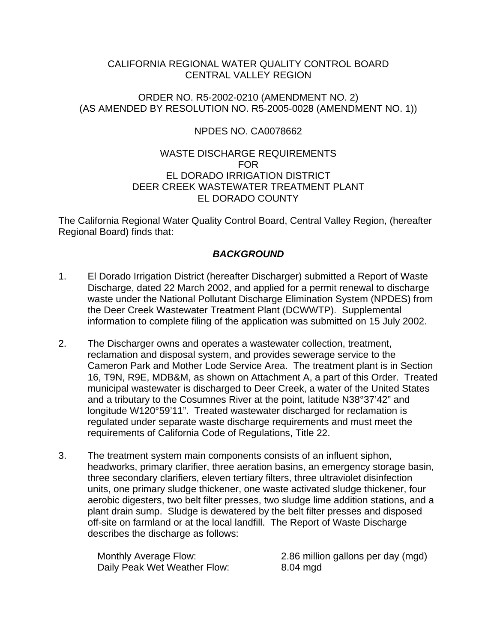## CALIFORNIA REGIONAL WATER QUALITY CONTROL BOARD CENTRAL VALLEY REGION

### ORDER NO. R5-2002-0210 (AMENDMENT NO. 2) (AS AMENDED BY RESOLUTION NO. R5-2005-0028 (AMENDMENT NO. 1))

## NPDES NO. CA0078662

## WASTE DISCHARGE REQUIREMENTS FOR EL DORADO IRRIGATION DISTRICT DEER CREEK WASTEWATER TREATMENT PLANT EL DORADO COUNTY

The California Regional Water Quality Control Board, Central Valley Region, (hereafter Regional Board) finds that:

# *BACKGROUND*

- 1. El Dorado Irrigation District (hereafter Discharger) submitted a Report of Waste Discharge, dated 22 March 2002, and applied for a permit renewal to discharge waste under the National Pollutant Discharge Elimination System (NPDES) from the Deer Creek Wastewater Treatment Plant (DCWWTP). Supplemental information to complete filing of the application was submitted on 15 July 2002.
- 2. The Discharger owns and operates a wastewater collection, treatment, reclamation and disposal system, and provides sewerage service to the Cameron Park and Mother Lode Service Area. The treatment plant is in Section 16, T9N, R9E, MDB&M, as shown on Attachment A, a part of this Order. Treated municipal wastewater is discharged to Deer Creek, a water of the United States and a tributary to the Cosumnes River at the point, latitude N38°37'42" and longitude W120°59'11". Treated wastewater discharged for reclamation is regulated under separate waste discharge requirements and must meet the requirements of California Code of Regulations, Title 22.
- 3. The treatment system main components consists of an influent siphon, headworks, primary clarifier, three aeration basins, an emergency storage basin, three secondary clarifiers, eleven tertiary filters, three ultraviolet disinfection units, one primary sludge thickener, one waste activated sludge thickener, four aerobic digesters, two belt filter presses, two sludge lime addition stations, and a plant drain sump. Sludge is dewatered by the belt filter presses and disposed off-site on farmland or at the local landfill. The Report of Waste Discharge describes the discharge as follows:

Daily Peak Wet Weather Flow: 8.04 mgd

Monthly Average Flow: 2.86 million gallons per day (mgd)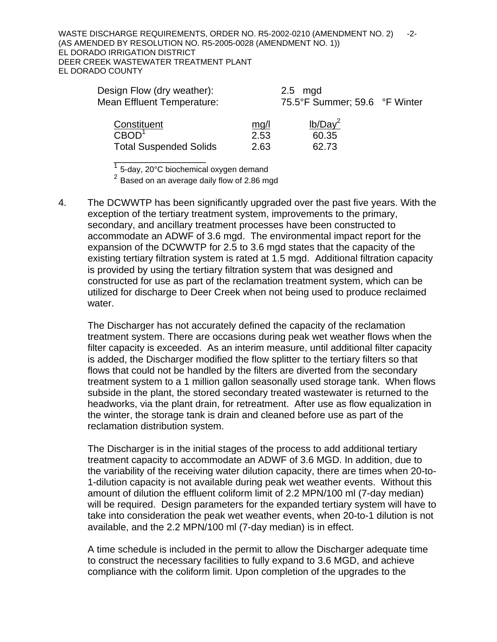WASTE DISCHARGE REQUIREMENTS, ORDER NO. R5-2002-0210 (AMENDMENT NO. 2) -2-(AS AMENDED BY RESOLUTION NO. R5-2005-0028 (AMENDMENT NO. 1)) EL DORADO IRRIGATION DISTRICT DEER CREEK WASTEWATER TREATMENT PLANT EL DORADO COUNTY

| Design Flow (dry weather):<br><b>Mean Effluent Temperature:</b> |      | $2.5 \mod$<br>75.5°F Summer; 59.6 °F Winter |  |
|-----------------------------------------------------------------|------|---------------------------------------------|--|
| Constituent                                                     | mg/l | $lb/Day^2$                                  |  |
| CBOD <sup>1</sup>                                               | 2.53 | 60.35                                       |  |
| <b>Total Suspended Solids</b>                                   | 2.63 | 62.73                                       |  |

<sup>1</sup> 5-day, 20°C biochemical oxygen demand

\_\_\_\_\_\_\_\_\_\_\_\_\_\_\_\_\_

 $2^{2}$  Based on an average daily flow of 2.86 mgd

4. The DCWWTP has been significantly upgraded over the past five years. With the exception of the tertiary treatment system, improvements to the primary, secondary, and ancillary treatment processes have been constructed to accommodate an ADWF of 3.6 mgd. The environmental impact report for the expansion of the DCWWTP for 2.5 to 3.6 mgd states that the capacity of the existing tertiary filtration system is rated at 1.5 mgd. Additional filtration capacity is provided by using the tertiary filtration system that was designed and constructed for use as part of the reclamation treatment system, which can be utilized for discharge to Deer Creek when not being used to produce reclaimed water.

The Discharger has not accurately defined the capacity of the reclamation treatment system. There are occasions during peak wet weather flows when the filter capacity is exceeded. As an interim measure, until additional filter capacity is added, the Discharger modified the flow splitter to the tertiary filters so that flows that could not be handled by the filters are diverted from the secondary treatment system to a 1 million gallon seasonally used storage tank. When flows subside in the plant, the stored secondary treated wastewater is returned to the headworks, via the plant drain, for retreatment. After use as flow equalization in the winter, the storage tank is drain and cleaned before use as part of the reclamation distribution system.

The Discharger is in the initial stages of the process to add additional tertiary treatment capacity to accommodate an ADWF of 3.6 MGD. In addition, due to the variability of the receiving water dilution capacity, there are times when 20-to-1-dilution capacity is not available during peak wet weather events. Without this amount of dilution the effluent coliform limit of 2.2 MPN/100 ml (7-day median) will be required. Design parameters for the expanded tertiary system will have to take into consideration the peak wet weather events, when 20-to-1 dilution is not available, and the 2.2 MPN/100 ml (7-day median) is in effect.

A time schedule is included in the permit to allow the Discharger adequate time to construct the necessary facilities to fully expand to 3.6 MGD, and achieve compliance with the coliform limit. Upon completion of the upgrades to the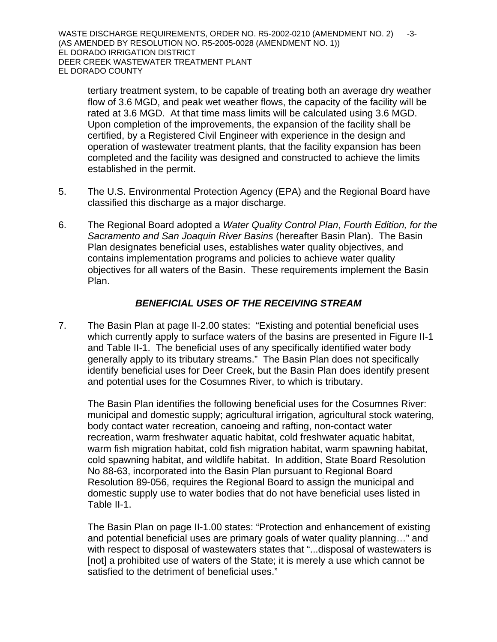WASTE DISCHARGE REQUIREMENTS, ORDER NO. R5-2002-0210 (AMENDMENT NO. 2) -3-(AS AMENDED BY RESOLUTION NO. R5-2005-0028 (AMENDMENT NO. 1)) EL DORADO IRRIGATION DISTRICT DEER CREEK WASTEWATER TREATMENT PLANT EL DORADO COUNTY

tertiary treatment system, to be capable of treating both an average dry weather flow of 3.6 MGD, and peak wet weather flows, the capacity of the facility will be rated at 3.6 MGD. At that time mass limits will be calculated using 3.6 MGD. Upon completion of the improvements, the expansion of the facility shall be certified, by a Registered Civil Engineer with experience in the design and operation of wastewater treatment plants, that the facility expansion has been completed and the facility was designed and constructed to achieve the limits established in the permit.

- 5. The U.S. Environmental Protection Agency (EPA) and the Regional Board have classified this discharge as a major discharge.
- 6. The Regional Board adopted a *Water Quality Control Plan*, *Fourth Edition, for the Sacramento and San Joaquin River Basins* (hereafter Basin Plan). The Basin Plan designates beneficial uses, establishes water quality objectives, and contains implementation programs and policies to achieve water quality objectives for all waters of the Basin. These requirements implement the Basin Plan.

## *BENEFICIAL USES OF THE RECEIVING STREAM*

7. The Basin Plan at page II-2.00 states: "Existing and potential beneficial uses which currently apply to surface waters of the basins are presented in Figure II-1 and Table II-1. The beneficial uses of any specifically identified water body generally apply to its tributary streams." The Basin Plan does not specifically identify beneficial uses for Deer Creek, but the Basin Plan does identify present and potential uses for the Cosumnes River, to which is tributary.

The Basin Plan identifies the following beneficial uses for the Cosumnes River: municipal and domestic supply; agricultural irrigation, agricultural stock watering, body contact water recreation, canoeing and rafting, non-contact water recreation, warm freshwater aquatic habitat, cold freshwater aquatic habitat, warm fish migration habitat, cold fish migration habitat, warm spawning habitat, cold spawning habitat, and wildlife habitat. In addition, State Board Resolution No 88-63, incorporated into the Basin Plan pursuant to Regional Board Resolution 89-056, requires the Regional Board to assign the municipal and domestic supply use to water bodies that do not have beneficial uses listed in Table II-1.

The Basin Plan on page II-1.00 states: "Protection and enhancement of existing and potential beneficial uses are primary goals of water quality planning…" and with respect to disposal of wastewaters states that "...disposal of wastewaters is [not] a prohibited use of waters of the State; it is merely a use which cannot be satisfied to the detriment of beneficial uses."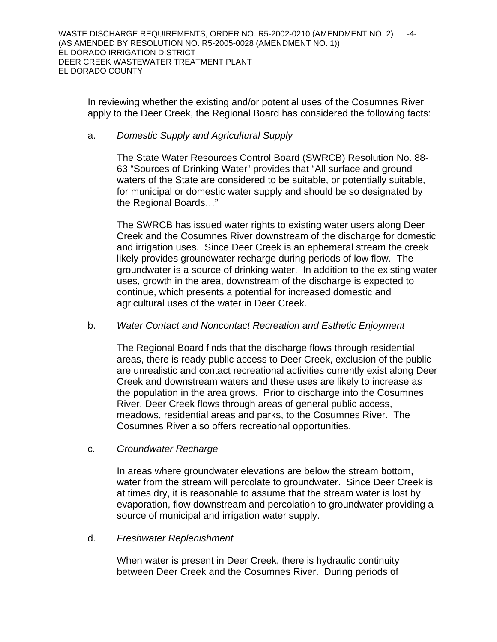In reviewing whether the existing and/or potential uses of the Cosumnes River apply to the Deer Creek, the Regional Board has considered the following facts:

### a. *Domestic Supply and Agricultural Supply*

The State Water Resources Control Board (SWRCB) Resolution No. 88- 63 "Sources of Drinking Water" provides that "All surface and ground waters of the State are considered to be suitable, or potentially suitable, for municipal or domestic water supply and should be so designated by the Regional Boards…"

The SWRCB has issued water rights to existing water users along Deer Creek and the Cosumnes River downstream of the discharge for domestic and irrigation uses. Since Deer Creek is an ephemeral stream the creek likely provides groundwater recharge during periods of low flow. The groundwater is a source of drinking water. In addition to the existing water uses, growth in the area, downstream of the discharge is expected to continue, which presents a potential for increased domestic and agricultural uses of the water in Deer Creek.

## b. *Water Contact and Noncontact Recreation and Esthetic Enjoyment*

 The Regional Board finds that the discharge flows through residential areas, there is ready public access to Deer Creek, exclusion of the public are unrealistic and contact recreational activities currently exist along Deer Creek and downstream waters and these uses are likely to increase as the population in the area grows. Prior to discharge into the Cosumnes River, Deer Creek flows through areas of general public access, meadows, residential areas and parks, to the Cosumnes River.The Cosumnes River also offers recreational opportunities.

c. *Groundwater Recharge*

 In areas where groundwater elevations are below the stream bottom, water from the stream will percolate to groundwater. Since Deer Creek is at times dry, it is reasonable to assume that the stream water is lost by evaporation, flow downstream and percolation to groundwater providing a source of municipal and irrigation water supply.

### d. *Freshwater Replenishment*

 When water is present in Deer Creek, there is hydraulic continuity between Deer Creek and the Cosumnes River. During periods of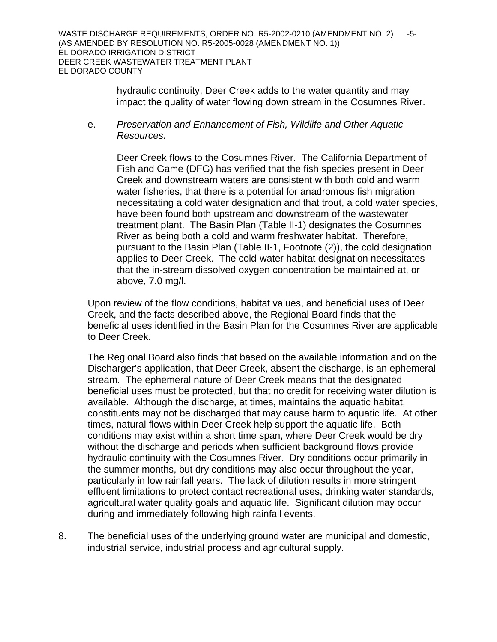hydraulic continuity, Deer Creek adds to the water quantity and may impact the quality of water flowing down stream in the Cosumnes River.

 e. *Preservation and Enhancement of Fish, Wildlife and Other Aquatic Resources.*

 Deer Creek flows to the Cosumnes River. The California Department of Fish and Game (DFG) has verified that the fish species present in Deer Creek and downstream waters are consistent with both cold and warm water fisheries, that there is a potential for anadromous fish migration necessitating a cold water designation and that trout, a cold water species, have been found both upstream and downstream of the wastewater treatment plant. The Basin Plan (Table II-1) designates the Cosumnes River as being both a cold and warm freshwater habitat. Therefore, pursuant to the Basin Plan (Table II-1, Footnote (2)), the cold designation applies to Deer Creek. The cold-water habitat designation necessitates that the in-stream dissolved oxygen concentration be maintained at, or above, 7.0 mg/l.

Upon review of the flow conditions, habitat values, and beneficial uses of Deer Creek, and the facts described above, the Regional Board finds that the beneficial uses identified in the Basin Plan for the Cosumnes River are applicable to Deer Creek.

The Regional Board also finds that based on the available information and on the Discharger's application, that Deer Creek, absent the discharge, is an ephemeral stream. The ephemeral nature of Deer Creek means that the designated beneficial uses must be protected, but that no credit for receiving water dilution is available. Although the discharge, at times, maintains the aquatic habitat, constituents may not be discharged that may cause harm to aquatic life. At other times, natural flows within Deer Creek help support the aquatic life. Both conditions may exist within a short time span, where Deer Creek would be dry without the discharge and periods when sufficient background flows provide hydraulic continuity with the Cosumnes River. Dry conditions occur primarily in the summer months, but dry conditions may also occur throughout the year, particularly in low rainfall years. The lack of dilution results in more stringent effluent limitations to protect contact recreational uses, drinking water standards, agricultural water quality goals and aquatic life. Significant dilution may occur during and immediately following high rainfall events.

8. The beneficial uses of the underlying ground water are municipal and domestic, industrial service, industrial process and agricultural supply.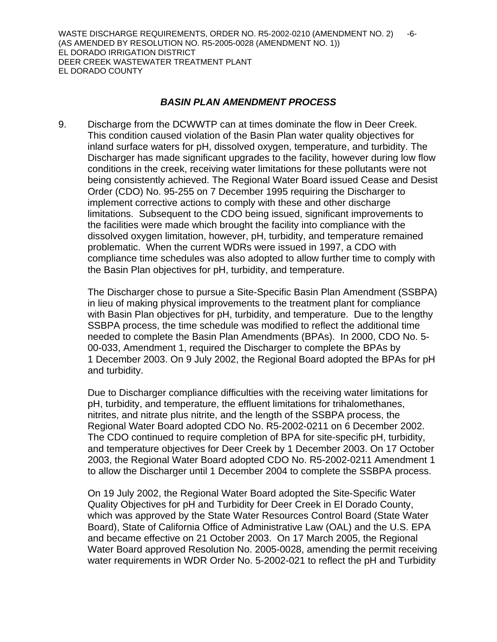WASTE DISCHARGE REQUIREMENTS, ORDER NO. R5-2002-0210 (AMENDMENT NO. 2) -6-(AS AMENDED BY RESOLUTION NO. R5-2005-0028 (AMENDMENT NO. 1)) EL DORADO IRRIGATION DISTRICT DEER CREEK WASTEWATER TREATMENT PLANT EL DORADO COUNTY

### *BASIN PLAN AMENDMENT PROCESS*

9. Discharge from the DCWWTP can at times dominate the flow in Deer Creek. This condition caused violation of the Basin Plan water quality objectives for inland surface waters for pH, dissolved oxygen, temperature, and turbidity. The Discharger has made significant upgrades to the facility, however during low flow conditions in the creek, receiving water limitations for these pollutants were not being consistently achieved. The Regional Water Board issued Cease and Desist Order (CDO) No. 95-255 on 7 December 1995 requiring the Discharger to implement corrective actions to comply with these and other discharge limitations. Subsequent to the CDO being issued, significant improvements to the facilities were made which brought the facility into compliance with the dissolved oxygen limitation, however, pH, turbidity, and temperature remained problematic. When the current WDRs were issued in 1997, a CDO with compliance time schedules was also adopted to allow further time to comply with the Basin Plan objectives for pH, turbidity, and temperature.

The Discharger chose to pursue a Site-Specific Basin Plan Amendment (SSBPA) in lieu of making physical improvements to the treatment plant for compliance with Basin Plan objectives for pH, turbidity, and temperature. Due to the lengthy SSBPA process, the time schedule was modified to reflect the additional time needed to complete the Basin Plan Amendments (BPAs). In 2000, CDO No. 5- 00-033, Amendment 1, required the Discharger to complete the BPAs by 1 December 2003. On 9 July 2002, the Regional Board adopted the BPAs for pH and turbidity.

Due to Discharger compliance difficulties with the receiving water limitations for pH, turbidity, and temperature, the effluent limitations for trihalomethanes, nitrites, and nitrate plus nitrite, and the length of the SSBPA process, the Regional Water Board adopted CDO No. R5-2002-0211 on 6 December 2002. The CDO continued to require completion of BPA for site-specific pH, turbidity, and temperature objectives for Deer Creek by 1 December 2003. On 17 October 2003, the Regional Water Board adopted CDO No. R5-2002-0211 Amendment 1 to allow the Discharger until 1 December 2004 to complete the SSBPA process.

On 19 July 2002, the Regional Water Board adopted the Site-Specific Water Quality Objectives for pH and Turbidity for Deer Creek in El Dorado County, which was approved by the State Water Resources Control Board (State Water Board), State of California Office of Administrative Law (OAL) and the U.S. EPA and became effective on 21 October 2003. On 17 March 2005, the Regional Water Board approved Resolution No. 2005-0028, amending the permit receiving water requirements in WDR Order No. 5-2002-021 to reflect the pH and Turbidity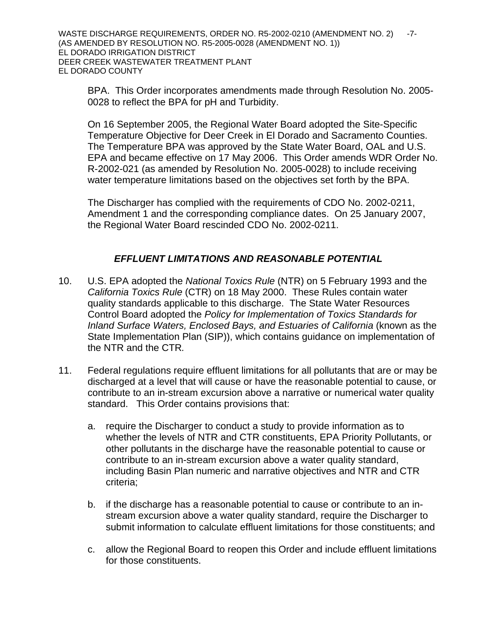BPA. This Order incorporates amendments made through Resolution No. 2005- 0028 to reflect the BPA for pH and Turbidity.

On 16 September 2005, the Regional Water Board adopted the Site-Specific Temperature Objective for Deer Creek in El Dorado and Sacramento Counties. The Temperature BPA was approved by the State Water Board, OAL and U.S. EPA and became effective on 17 May 2006. This Order amends WDR Order No. R-2002-021 (as amended by Resolution No. 2005-0028) to include receiving water temperature limitations based on the objectives set forth by the BPA.

The Discharger has complied with the requirements of CDO No. 2002-0211, Amendment 1 and the corresponding compliance dates. On 25 January 2007, the Regional Water Board rescinded CDO No. 2002-0211.

# *EFFLUENT LIMITATIONS AND REASONABLE POTENTIAL*

- 10. U.S. EPA adopted the *National Toxics Rule* (NTR) on 5 February 1993 and the *California Toxics Rule* (CTR) on 18 May 2000. These Rules contain water quality standards applicable to this discharge. The State Water Resources Control Board adopted the *Policy for Implementation of Toxics Standards for Inland Surface Waters, Enclosed Bays, and Estuaries of California* (known as the State Implementation Plan (SIP)), which contains guidance on implementation of the NTR and the CTR*.*
- 11. Federal regulations require effluent limitations for all pollutants that are or may be discharged at a level that will cause or have the reasonable potential to cause, or contribute to an in-stream excursion above a narrative or numerical water quality standard. This Order contains provisions that:
	- a. require the Discharger to conduct a study to provide information as to whether the levels of NTR and CTR constituents, EPA Priority Pollutants, or other pollutants in the discharge have the reasonable potential to cause or contribute to an in-stream excursion above a water quality standard, including Basin Plan numeric and narrative objectives and NTR and CTR criteria;
	- b. if the discharge has a reasonable potential to cause or contribute to an instream excursion above a water quality standard, require the Discharger to submit information to calculate effluent limitations for those constituents; and
	- c. allow the Regional Board to reopen this Order and include effluent limitations for those constituents.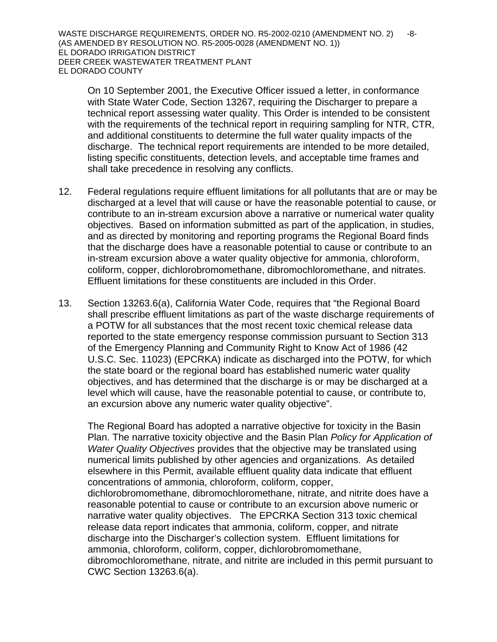WASTE DISCHARGE REQUIREMENTS, ORDER NO. R5-2002-0210 (AMENDMENT NO. 2) -8-(AS AMENDED BY RESOLUTION NO. R5-2005-0028 (AMENDMENT NO. 1)) EL DORADO IRRIGATION DISTRICT DEER CREEK WASTEWATER TREATMENT PLANT EL DORADO COUNTY

On 10 September 2001, the Executive Officer issued a letter, in conformance with State Water Code, Section 13267, requiring the Discharger to prepare a technical report assessing water quality. This Order is intended to be consistent with the requirements of the technical report in requiring sampling for NTR, CTR, and additional constituents to determine the full water quality impacts of the discharge. The technical report requirements are intended to be more detailed, listing specific constituents, detection levels, and acceptable time frames and shall take precedence in resolving any conflicts.

- 12. Federal regulations require effluent limitations for all pollutants that are or may be discharged at a level that will cause or have the reasonable potential to cause, or contribute to an in-stream excursion above a narrative or numerical water quality objectives. Based on information submitted as part of the application, in studies, and as directed by monitoring and reporting programs the Regional Board finds that the discharge does have a reasonable potential to cause or contribute to an in-stream excursion above a water quality objective for ammonia, chloroform, coliform, copper, dichlorobromomethane, dibromochloromethane, and nitrates. Effluent limitations for these constituents are included in this Order.
- 13. Section 13263.6(a), California Water Code, requires that "the Regional Board shall prescribe effluent limitations as part of the waste discharge requirements of a POTW for all substances that the most recent toxic chemical release data reported to the state emergency response commission pursuant to Section 313 of the Emergency Planning and Community Right to Know Act of 1986 (42 U.S.C. Sec. 11023) (EPCRKA) indicate as discharged into the POTW, for which the state board or the regional board has established numeric water quality objectives, and has determined that the discharge is or may be discharged at a level which will cause, have the reasonable potential to cause, or contribute to, an excursion above any numeric water quality objective".

The Regional Board has adopted a narrative objective for toxicity in the Basin Plan. The narrative toxicity objective and the Basin Plan *Policy for Application of Water Quality Objectives* provides that the objective may be translated using numerical limits published by other agencies and organizations. As detailed elsewhere in this Permit, available effluent quality data indicate that effluent concentrations of ammonia, chloroform, coliform, copper,

dichlorobromomethane, dibromochloromethane, nitrate, and nitrite does have a reasonable potential to cause or contribute to an excursion above numeric or narrative water quality objectives. The EPCRKA Section 313 toxic chemical release data report indicates that ammonia, coliform, copper, and nitrate discharge into the Discharger's collection system. Effluent limitations for ammonia, chloroform, coliform, copper, dichlorobromomethane, dibromochloromethane, nitrate, and nitrite are included in this permit pursuant to CWC Section 13263.6(a).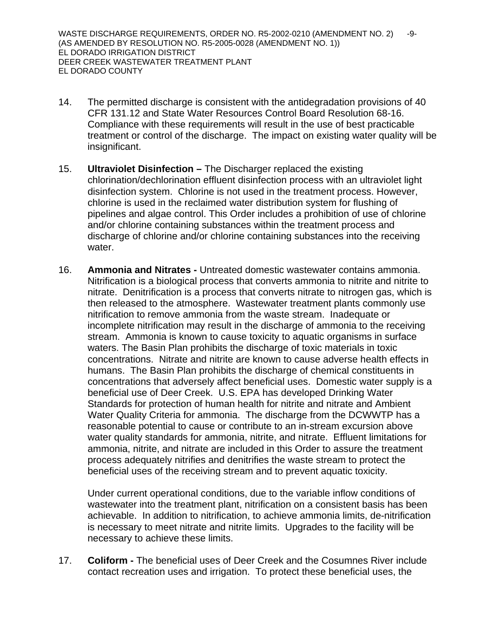- 14. The permitted discharge is consistent with the antidegradation provisions of 40 CFR 131.12 and State Water Resources Control Board Resolution 68-16. Compliance with these requirements will result in the use of best practicable treatment or control of the discharge. The impact on existing water quality will be insignificant.
- 15. **Ultraviolet Disinfection** The Discharger replaced the existing chlorination/dechlorination effluent disinfection process with an ultraviolet light disinfection system. Chlorine is not used in the treatment process. However, chlorine is used in the reclaimed water distribution system for flushing of pipelines and algae control. This Order includes a prohibition of use of chlorine and/or chlorine containing substances within the treatment process and discharge of chlorine and/or chlorine containing substances into the receiving water.
- 16. **Ammonia and Nitrates -** Untreated domestic wastewater contains ammonia. Nitrification is a biological process that converts ammonia to nitrite and nitrite to nitrate. Denitrification is a process that converts nitrate to nitrogen gas, which is then released to the atmosphere. Wastewater treatment plants commonly use nitrification to remove ammonia from the waste stream. Inadequate or incomplete nitrification may result in the discharge of ammonia to the receiving stream. Ammonia is known to cause toxicity to aquatic organisms in surface waters. The Basin Plan prohibits the discharge of toxic materials in toxic concentrations. Nitrate and nitrite are known to cause adverse health effects in humans. The Basin Plan prohibits the discharge of chemical constituents in concentrations that adversely affect beneficial uses. Domestic water supply is a beneficial use of Deer Creek. U.S. EPA has developed Drinking Water Standards for protection of human health for nitrite and nitrate and Ambient Water Quality Criteria for ammonia. The discharge from the DCWWTP has a reasonable potential to cause or contribute to an in-stream excursion above water quality standards for ammonia, nitrite, and nitrate. Effluent limitations for ammonia, nitrite, and nitrate are included in this Order to assure the treatment process adequately nitrifies and denitrifies the waste stream to protect the beneficial uses of the receiving stream and to prevent aquatic toxicity.

Under current operational conditions, due to the variable inflow conditions of wastewater into the treatment plant, nitrification on a consistent basis has been achievable. In addition to nitrification, to achieve ammonia limits, de-nitrification is necessary to meet nitrate and nitrite limits. Upgrades to the facility will be necessary to achieve these limits.

17. **Coliform -** The beneficial uses of Deer Creek and the Cosumnes River include contact recreation uses and irrigation. To protect these beneficial uses, the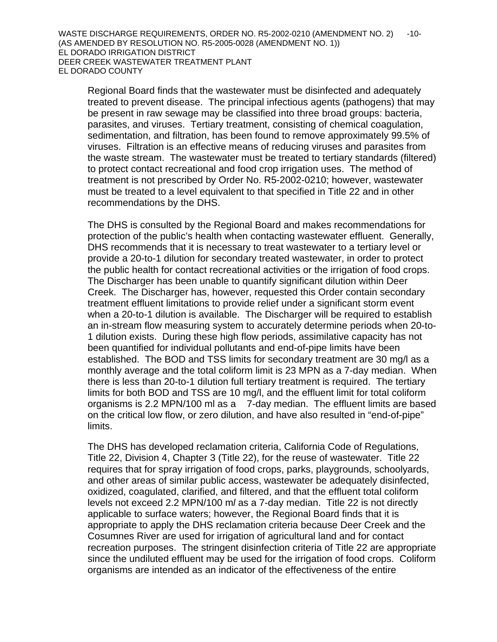Regional Board finds that the wastewater must be disinfected and adequately treated to prevent disease. The principal infectious agents (pathogens) that may be present in raw sewage may be classified into three broad groups: bacteria, parasites, and viruses. Tertiary treatment, consisting of chemical coagulation, sedimentation, and filtration, has been found to remove approximately 99.5% of viruses. Filtration is an effective means of reducing viruses and parasites from the waste stream. The wastewater must be treated to tertiary standards (filtered) to protect contact recreational and food crop irrigation uses. The method of treatment is not prescribed by Order No. R5-2002-0210; however, wastewater must be treated to a level equivalent to that specified in Title 22 and in other recommendations by the DHS.

The DHS is consulted by the Regional Board and makes recommendations for protection of the public's health when contacting wastewater effluent. Generally, DHS recommends that it is necessary to treat wastewater to a tertiary level or provide a 20-to-1 dilution for secondary treated wastewater, in order to protect the public health for contact recreational activities or the irrigation of food crops. The Discharger has been unable to quantify significant dilution within Deer Creek. The Discharger has, however, requested this Order contain secondary treatment effluent limitations to provide relief under a significant storm event when a 20-to-1 dilution is available. The Discharger will be required to establish an in-stream flow measuring system to accurately determine periods when 20-to-1 dilution exists. During these high flow periods, assimilative capacity has not been quantified for individual pollutants and end-of-pipe limits have been established. The BOD and TSS limits for secondary treatment are 30 mg/l as a monthly average and the total coliform limit is 23 MPN as a 7-day median. When there is less than 20-to-1 dilution full tertiary treatment is required. The tertiary limits for both BOD and TSS are 10 mg/l, and the effluent limit for total coliform organisms is 2.2 MPN/100 ml as a 7-day median. The effluent limits are based on the critical low flow, or zero dilution, and have also resulted in "end-of-pipe" limits.

The DHS has developed reclamation criteria, California Code of Regulations, Title 22, Division 4, Chapter 3 (Title 22), for the reuse of wastewater. Title 22 requires that for spray irrigation of food crops, parks, playgrounds, schoolyards, and other areas of similar public access, wastewater be adequately disinfected, oxidized, coagulated, clarified, and filtered, and that the effluent total coliform levels not exceed 2.2 MPN/100 m*l* as a 7-day median. Title 22 is not directly applicable to surface waters; however, the Regional Board finds that it is appropriate to apply the DHS reclamation criteria because Deer Creek and the Cosumnes River are used for irrigation of agricultural land and for contact recreation purposes. The stringent disinfection criteria of Title 22 are appropriate since the undiluted effluent may be used for the irrigation of food crops. Coliform organisms are intended as an indicator of the effectiveness of the entire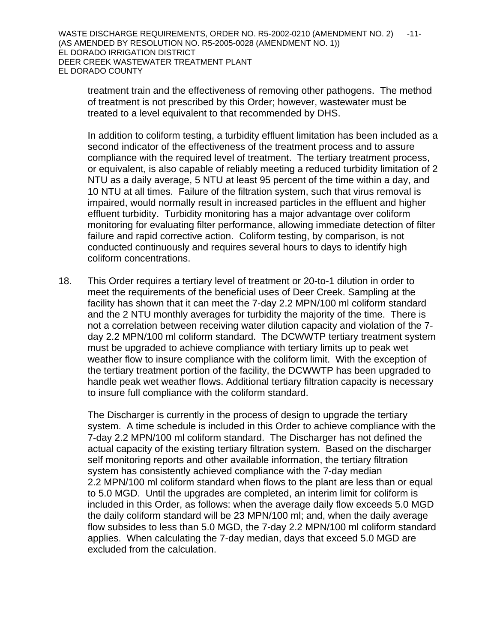WASTE DISCHARGE REQUIREMENTS, ORDER NO. R5-2002-0210 (AMENDMENT NO. 2) -11-(AS AMENDED BY RESOLUTION NO. R5-2005-0028 (AMENDMENT NO. 1)) EL DORADO IRRIGATION DISTRICT DEER CREEK WASTEWATER TREATMENT PLANT EL DORADO COUNTY

treatment train and the effectiveness of removing other pathogens. The method of treatment is not prescribed by this Order; however, wastewater must be treated to a level equivalent to that recommended by DHS.

In addition to coliform testing, a turbidity effluent limitation has been included as a second indicator of the effectiveness of the treatment process and to assure compliance with the required level of treatment. The tertiary treatment process, or equivalent, is also capable of reliably meeting a reduced turbidity limitation of 2 NTU as a daily average, 5 NTU at least 95 percent of the time within a day, and 10 NTU at all times. Failure of the filtration system, such that virus removal is impaired, would normally result in increased particles in the effluent and higher effluent turbidity. Turbidity monitoring has a major advantage over coliform monitoring for evaluating filter performance, allowing immediate detection of filter failure and rapid corrective action. Coliform testing, by comparison, is not conducted continuously and requires several hours to days to identify high coliform concentrations.

18. This Order requires a tertiary level of treatment or 20-to-1 dilution in order to meet the requirements of the beneficial uses of Deer Creek. Sampling at the facility has shown that it can meet the 7-day 2.2 MPN/100 ml coliform standard and the 2 NTU monthly averages for turbidity the majority of the time. There is not a correlation between receiving water dilution capacity and violation of the 7 day 2.2 MPN/100 ml coliform standard. The DCWWTP tertiary treatment system must be upgraded to achieve compliance with tertiary limits up to peak wet weather flow to insure compliance with the coliform limit. With the exception of the tertiary treatment portion of the facility, the DCWWTP has been upgraded to handle peak wet weather flows. Additional tertiary filtration capacity is necessary to insure full compliance with the coliform standard.

The Discharger is currently in the process of design to upgrade the tertiary system. A time schedule is included in this Order to achieve compliance with the 7-day 2.2 MPN/100 ml coliform standard. The Discharger has not defined the actual capacity of the existing tertiary filtration system. Based on the discharger self monitoring reports and other available information, the tertiary filtration system has consistently achieved compliance with the 7-day median 2.2 MPN/100 ml coliform standard when flows to the plant are less than or equal to 5.0 MGD. Until the upgrades are completed, an interim limit for coliform is included in this Order, as follows: when the average daily flow exceeds 5.0 MGD the daily coliform standard will be 23 MPN/100 ml; and, when the daily average flow subsides to less than 5.0 MGD, the 7-day 2.2 MPN/100 ml coliform standard applies. When calculating the 7-day median, days that exceed 5.0 MGD are excluded from the calculation.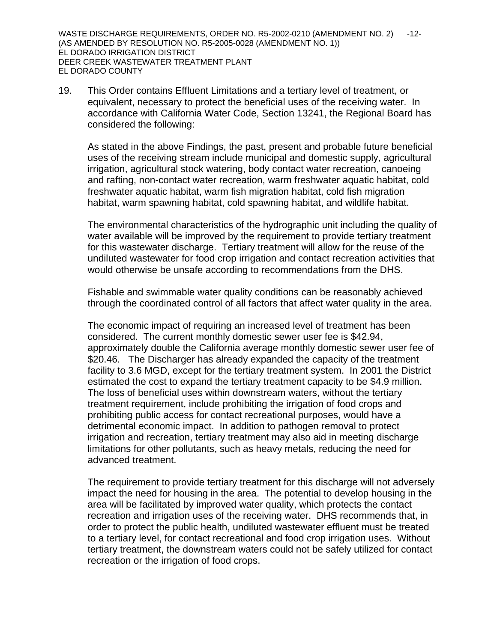WASTE DISCHARGE REQUIREMENTS, ORDER NO. R5-2002-0210 (AMENDMENT NO. 2) -12-(AS AMENDED BY RESOLUTION NO. R5-2005-0028 (AMENDMENT NO. 1)) EL DORADO IRRIGATION DISTRICT DEER CREEK WASTEWATER TREATMENT PLANT EL DORADO COUNTY

19. This Order contains Effluent Limitations and a tertiary level of treatment, or equivalent, necessary to protect the beneficial uses of the receiving water. In accordance with California Water Code, Section 13241, the Regional Board has considered the following:

As stated in the above Findings, the past, present and probable future beneficial uses of the receiving stream include municipal and domestic supply, agricultural irrigation, agricultural stock watering, body contact water recreation, canoeing and rafting, non-contact water recreation, warm freshwater aquatic habitat, cold freshwater aquatic habitat, warm fish migration habitat, cold fish migration habitat, warm spawning habitat, cold spawning habitat, and wildlife habitat.

The environmental characteristics of the hydrographic unit including the quality of water available will be improved by the requirement to provide tertiary treatment for this wastewater discharge. Tertiary treatment will allow for the reuse of the undiluted wastewater for food crop irrigation and contact recreation activities that would otherwise be unsafe according to recommendations from the DHS.

Fishable and swimmable water quality conditions can be reasonably achieved through the coordinated control of all factors that affect water quality in the area.

The economic impact of requiring an increased level of treatment has been considered. The current monthly domestic sewer user fee is \$42.94, approximately double the California average monthly domestic sewer user fee of \$20.46. The Discharger has already expanded the capacity of the treatment facility to 3.6 MGD, except for the tertiary treatment system. In 2001 the District estimated the cost to expand the tertiary treatment capacity to be \$4.9 million. The loss of beneficial uses within downstream waters, without the tertiary treatment requirement, include prohibiting the irrigation of food crops and prohibiting public access for contact recreational purposes, would have a detrimental economic impact. In addition to pathogen removal to protect irrigation and recreation, tertiary treatment may also aid in meeting discharge limitations for other pollutants, such as heavy metals, reducing the need for advanced treatment.

The requirement to provide tertiary treatment for this discharge will not adversely impact the need for housing in the area. The potential to develop housing in the area will be facilitated by improved water quality, which protects the contact recreation and irrigation uses of the receiving water. DHS recommends that, in order to protect the public health, undiluted wastewater effluent must be treated to a tertiary level, for contact recreational and food crop irrigation uses. Without tertiary treatment, the downstream waters could not be safely utilized for contact recreation or the irrigation of food crops.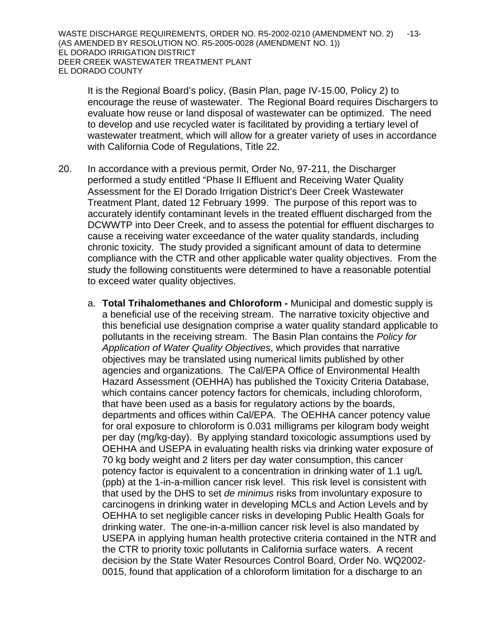It is the Regional Board's policy, (Basin Plan, page IV-15.00, Policy 2) to encourage the reuse of wastewater. The Regional Board requires Dischargers to evaluate how reuse or land disposal of wastewater can be optimized. The need to develop and use recycled water is facilitated by providing a tertiary level of wastewater treatment, which will allow for a greater variety of uses in accordance with California Code of Regulations, Title 22.

- 20. In accordance with a previous permit, Order No, 97-211, the Discharger performed a study entitled "Phase II Effluent and Receiving Water Quality Assessment for the El Dorado Irrigation District's Deer Creek Wastewater Treatment Plant, dated 12 February 1999. The purpose of this report was to accurately identify contaminant levels in the treated effluent discharged from the DCWWTP into Deer Creek, and to assess the potential for effluent discharges to cause a receiving water exceedance of the water quality standards, including chronic toxicity. The study provided a significant amount of data to determine compliance with the CTR and other applicable water quality objectives. From the study the following constituents were determined to have a reasonable potential to exceed water quality objectives.
	- a. **Total Trihalomethanes and Chloroform -** Municipal and domestic supply is a beneficial use of the receiving stream. The narrative toxicity objective and this beneficial use designation comprise a water quality standard applicable to pollutants in the receiving stream. The Basin Plan contains the *Policy for Application of Water Quality Objectives*, which provides that narrative objectives may be translated using numerical limits published by other agencies and organizations. The Cal/EPA Office of Environmental Health Hazard Assessment (OEHHA) has published the Toxicity Criteria Database, which contains cancer potency factors for chemicals, including chloroform, that have been used as a basis for regulatory actions by the boards, departments and offices within Cal/EPA. The OEHHA cancer potency value for oral exposure to chloroform is 0.031 milligrams per kilogram body weight per day (mg/kg-day). By applying standard toxicologic assumptions used by OEHHA and USEPA in evaluating health risks via drinking water exposure of 70 kg body weight and 2 liters per day water consumption, this cancer potency factor is equivalent to a concentration in drinking water of 1.1 ug/L (ppb) at the 1-in-a-million cancer risk level. This risk level is consistent with that used by the DHS to set *de minimus* risks from involuntary exposure to carcinogens in drinking water in developing MCLs and Action Levels and by OEHHA to set negligible cancer risks in developing Public Health Goals for drinking water. The one-in-a-million cancer risk level is also mandated by USEPA in applying human health protective criteria contained in the NTR and the CTR to priority toxic pollutants in California surface waters. A recent decision by the State Water Resources Control Board, Order No. WQ2002- 0015, found that application of a chloroform limitation for a discharge to an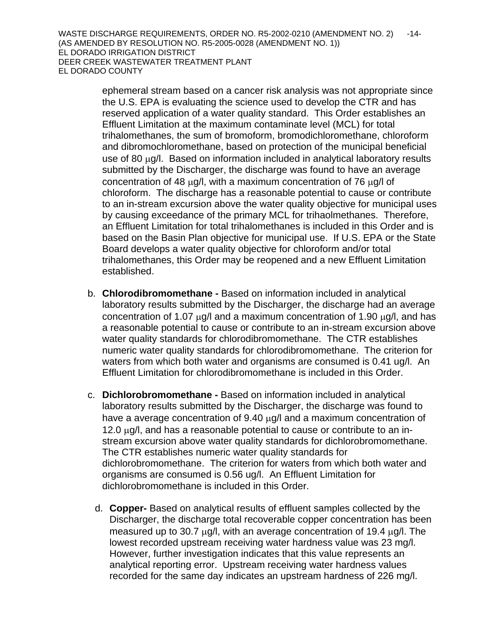ephemeral stream based on a cancer risk analysis was not appropriate since the U.S. EPA is evaluating the science used to develop the CTR and has reserved application of a water quality standard. This Order establishes an Effluent Limitation at the maximum contaminate level (MCL) for total trihalomethanes, the sum of bromoform, bromodichloromethane, chloroform and dibromochloromethane, based on protection of the municipal beneficial use of 80 μg/l. Based on information included in analytical laboratory results submitted by the Discharger, the discharge was found to have an average concentration of 48 μg/l, with a maximum concentration of 76 μg/l of chloroform. The discharge has a reasonable potential to cause or contribute to an in-stream excursion above the water quality objective for municipal uses by causing exceedance of the primary MCL for trihaolmethanes. Therefore, an Effluent Limitation for total trihalomethanes is included in this Order and is based on the Basin Plan objective for municipal use. If U.S. EPA or the State Board develops a water quality objective for chloroform and/or total trihalomethanes, this Order may be reopened and a new Effluent Limitation established.

- b. **Chlorodibromomethane -** Based on information included in analytical laboratory results submitted by the Discharger, the discharge had an average concentration of 1.07  $\mu$ g/l and a maximum concentration of 1.90  $\mu$ g/l, and has a reasonable potential to cause or contribute to an in-stream excursion above water quality standards for chlorodibromomethane. The CTR establishes numeric water quality standards for chlorodibromomethane. The criterion for waters from which both water and organisms are consumed is 0.41 ug/l. An Effluent Limitation for chlorodibromomethane is included in this Order.
- c. **Dichlorobromomethane -** Based on information included in analytical laboratory results submitted by the Discharger, the discharge was found to have a average concentration of 9.40 μg/l and a maximum concentration of 12.0 μg/l, and has a reasonable potential to cause or contribute to an instream excursion above water quality standards for dichlorobromomethane. The CTR establishes numeric water quality standards for dichlorobromomethane. The criterion for waters from which both water and organisms are consumed is 0.56 ug/l. An Effluent Limitation for dichlorobromomethane is included in this Order.
	- d. **Copper-** Based on analytical results of effluent samples collected by the Discharger, the discharge total recoverable copper concentration has been measured up to 30.7 μg/l, with an average concentration of 19.4 μg/l. The lowest recorded upstream receiving water hardness value was 23 mg/l. However, further investigation indicates that this value represents an analytical reporting error. Upstream receiving water hardness values recorded for the same day indicates an upstream hardness of 226 mg/l.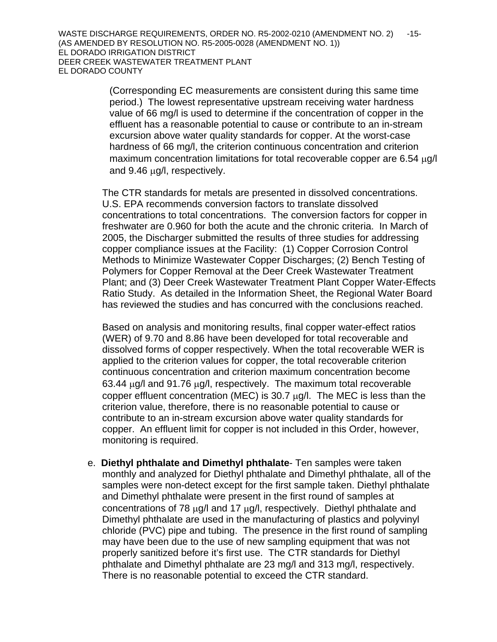(Corresponding EC measurements are consistent during this same time period.) The lowest representative upstream receiving water hardness value of 66 mg/l is used to determine if the concentration of copper in the effluent has a reasonable potential to cause or contribute to an in-stream excursion above water quality standards for copper. At the worst-case hardness of 66 mg/l, the criterion continuous concentration and criterion maximum concentration limitations for total recoverable copper are 6.54 μg/l and 9.46 μg/l, respectively.

The CTR standards for metals are presented in dissolved concentrations. U.S. EPA recommends conversion factors to translate dissolved concentrations to total concentrations. The conversion factors for copper in freshwater are 0.960 for both the acute and the chronic criteria. In March of 2005, the Discharger submitted the results of three studies for addressing copper compliance issues at the Facility: (1) Copper Corrosion Control Methods to Minimize Wastewater Copper Discharges; (2) Bench Testing of Polymers for Copper Removal at the Deer Creek Wastewater Treatment Plant; and (3) Deer Creek Wastewater Treatment Plant Copper Water-Effects Ratio Study. As detailed in the Information Sheet, the Regional Water Board has reviewed the studies and has concurred with the conclusions reached.

Based on analysis and monitoring results, final copper water-effect ratios (WER) of 9.70 and 8.86 have been developed for total recoverable and dissolved forms of copper respectively. When the total recoverable WER is applied to the criterion values for copper, the total recoverable criterion continuous concentration and criterion maximum concentration become 63.44 μg/l and 91.76 μg/l, respectively. The maximum total recoverable copper effluent concentration (MEC) is 30.7  $\mu$ g/l. The MEC is less than the criterion value, therefore, there is no reasonable potential to cause or contribute to an in-stream excursion above water quality standards for copper. An effluent limit for copper is not included in this Order, however, monitoring is required.

e. **Diethyl phthalate and Dimethyl phthalate**- Ten samples were taken monthly and analyzed for Diethyl phthalate and Dimethyl phthalate, all of the samples were non-detect except for the first sample taken. Diethyl phthalate and Dimethyl phthalate were present in the first round of samples at concentrations of 78 μg/l and 17 μg/l, respectively. Diethyl phthalate and Dimethyl phthalate are used in the manufacturing of plastics and polyvinyl chloride (PVC) pipe and tubing. The presence in the first round of sampling may have been due to the use of new sampling equipment that was not properly sanitized before it's first use. The CTR standards for Diethyl phthalate and Dimethyl phthalate are 23 mg/l and 313 mg/l, respectively. There is no reasonable potential to exceed the CTR standard.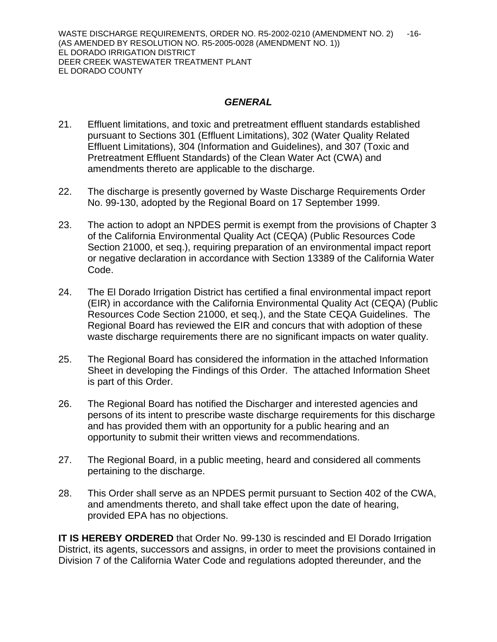## *GENERAL*

- 21. Effluent limitations, and toxic and pretreatment effluent standards established pursuant to Sections 301 (Effluent Limitations), 302 (Water Quality Related Effluent Limitations), 304 (Information and Guidelines), and 307 (Toxic and Pretreatment Effluent Standards) of the Clean Water Act (CWA) and amendments thereto are applicable to the discharge.
- 22. The discharge is presently governed by Waste Discharge Requirements Order No. 99-130, adopted by the Regional Board on 17 September 1999.
- 23. The action to adopt an NPDES permit is exempt from the provisions of Chapter 3 of the California Environmental Quality Act (CEQA) (Public Resources Code Section 21000, et seq.), requiring preparation of an environmental impact report or negative declaration in accordance with Section 13389 of the California Water Code.
- 24. The El Dorado Irrigation District has certified a final environmental impact report (EIR) in accordance with the California Environmental Quality Act (CEQA) (Public Resources Code Section 21000, et seq.), and the State CEQA Guidelines. The Regional Board has reviewed the EIR and concurs that with adoption of these waste discharge requirements there are no significant impacts on water quality.
- 25. The Regional Board has considered the information in the attached Information Sheet in developing the Findings of this Order. The attached Information Sheet is part of this Order.
- 26. The Regional Board has notified the Discharger and interested agencies and persons of its intent to prescribe waste discharge requirements for this discharge and has provided them with an opportunity for a public hearing and an opportunity to submit their written views and recommendations.
- 27. The Regional Board, in a public meeting, heard and considered all comments pertaining to the discharge.
- 28. This Order shall serve as an NPDES permit pursuant to Section 402 of the CWA, and amendments thereto, and shall take effect upon the date of hearing, provided EPA has no objections.

**IT IS HEREBY ORDERED** that Order No. 99-130 is rescinded and El Dorado Irrigation District, its agents, successors and assigns, in order to meet the provisions contained in Division 7 of the California Water Code and regulations adopted thereunder, and the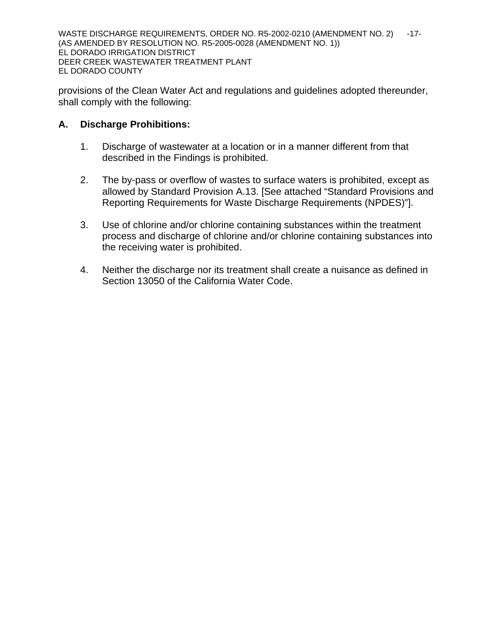WASTE DISCHARGE REQUIREMENTS, ORDER NO. R5-2002-0210 (AMENDMENT NO. 2) -17-(AS AMENDED BY RESOLUTION NO. R5-2005-0028 (AMENDMENT NO. 1)) EL DORADO IRRIGATION DISTRICT DEER CREEK WASTEWATER TREATMENT PLANT EL DORADO COUNTY

provisions of the Clean Water Act and regulations and guidelines adopted thereunder, shall comply with the following:

## **A. Discharge Prohibitions:**

- 1. Discharge of wastewater at a location or in a manner different from that described in the Findings is prohibited.
- 2. The by-pass or overflow of wastes to surface waters is prohibited, except as allowed by Standard Provision A.13. [See attached "Standard Provisions and Reporting Requirements for Waste Discharge Requirements (NPDES)"].
- 3. Use of chlorine and/or chlorine containing substances within the treatment process and discharge of chlorine and/or chlorine containing substances into the receiving water is prohibited.
- 4. Neither the discharge nor its treatment shall create a nuisance as defined in Section 13050 of the California Water Code.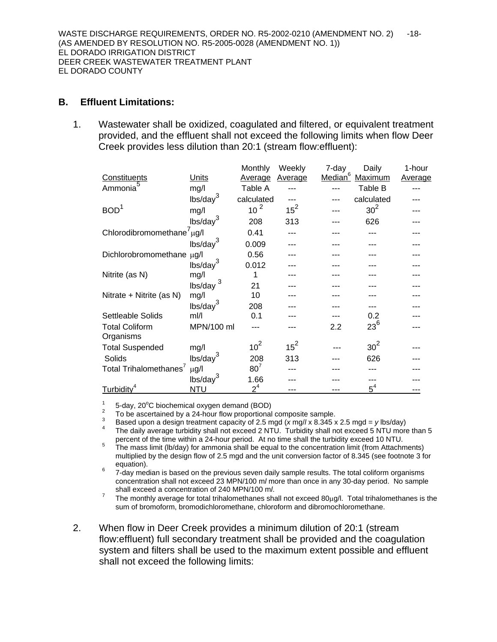### **B. Effluent Limitations:**

1. Wastewater shall be oxidized, coagulated and filtered, or equivalent treatment provided, and the effluent shall not exceed the following limits when flow Deer Creek provides less dilution than 20:1 (stream flow:effluent):

|                                        |                      | Monthly         | Weekly  | 7-day               | Daily           | 1-hour         |
|----------------------------------------|----------------------|-----------------|---------|---------------------|-----------------|----------------|
| Constituents                           | Units                | Average         | Average | Median <sup>6</sup> | Maximum         | <b>Average</b> |
| Ammonia <sup>5</sup>                   | mg/l                 | Table A         |         |                     | Table B         |                |
|                                        | lbs/day <sup>3</sup> | calculated      |         |                     | calculated      |                |
| BOD <sup>1</sup>                       | mg/l                 | 10 <sup>2</sup> | $15^2$  |                     | 30 <sup>2</sup> |                |
|                                        | lbs/day <sup>3</sup> | 208             | 313     |                     | 626             |                |
| Chlorodibromomethane <sup>7</sup> µg/l |                      | 0.41            |         |                     |                 |                |
|                                        | lbs/day <sup>3</sup> | 0.009           |         |                     |                 |                |
| Dichlorobromomethane µg/l              |                      | 0.56            |         |                     |                 |                |
|                                        | lbs/day <sup>3</sup> | 0.012           |         |                     |                 |                |
| Nitrite (as N)                         | mg/l                 | 1               |         |                     |                 |                |
|                                        | 3<br>lbs/day         | 21              |         |                     |                 |                |
| Nitrate + Nitrite (as N)               | mg/l                 | 10              |         |                     |                 |                |
|                                        | lbs/day <sup>3</sup> | 208             |         |                     |                 |                |
| Settleable Solids                      | $m$ //               | 0.1             |         |                     | 0.2             |                |
| <b>Total Coliform</b>                  | MPN/100 ml           |                 |         | 2.2                 | $23^{6}$        |                |
| Organisms                              |                      |                 |         |                     |                 |                |
| <b>Total Suspended</b>                 | mg/l                 | 10 <sup>2</sup> | $15^2$  |                     | 30 <sup>2</sup> |                |
| Solids                                 | lbs/day <sup>3</sup> | 208             | 313     |                     | 626             |                |
| Total Trihalomethanes <sup>7</sup>     | $\mu$ g/l            | $80^7$          |         |                     |                 |                |
|                                        | $\text{lbs/day}^3$   | 1.66            |         |                     |                 |                |
| Turbidity <sup>4</sup>                 | <b>NTU</b>           | 2 <sup>4</sup>  | ---     | ---                 | $5^4$           |                |

<sup>1</sup> 5-day, 20<sup>o</sup>C biochemical oxygen demand (BOD)<br><sup>2</sup> To be ascertained by a 24-hour flow proportional composite sample.

3 Based upon a design treatment capacity of 2.5 mgd (*x* mg/*l* x 8.345 x 2.5 mgd = *y* lbs/day) 4

- The daily average turbidity shall not exceed 2 NTU. Turbidity shall not exceed 5 NTU more than 5
- percent of the time within a 24-hour period. At no time shall the turbidity exceed 10 NTU.<br><sup>5</sup> The mass limit (lb/day) for ammonia shall be equal to the concentration limit (from Attachments) multiplied by the design flow of 2.5 mgd and the unit conversion factor of 8.345 (see footnote 3 for equation).<br><sup>6</sup> 7-day median is based on the previous seven daily sample results. The total coliform organisms
- concentration shall not exceed 23 MPN/100 m*l* more than once in any 30-day period. No sample shall exceed a concentration of 240 MPN/100 m*l*.<br><sup>7</sup> The monthly average for total tribolomethanes show
- The monthly average for total trihalomethanes shall not exceed  $80\mu\text{g/l}$ . Total trihalomethanes is the sum of bromoform, bromodichloromethane, chloroform and dibromochloromethane.
- 2. When flow in Deer Creek provides a minimum dilution of 20:1 (stream flow:effluent) full secondary treatment shall be provided and the coagulation system and filters shall be used to the maximum extent possible and effluent shall not exceed the following limits: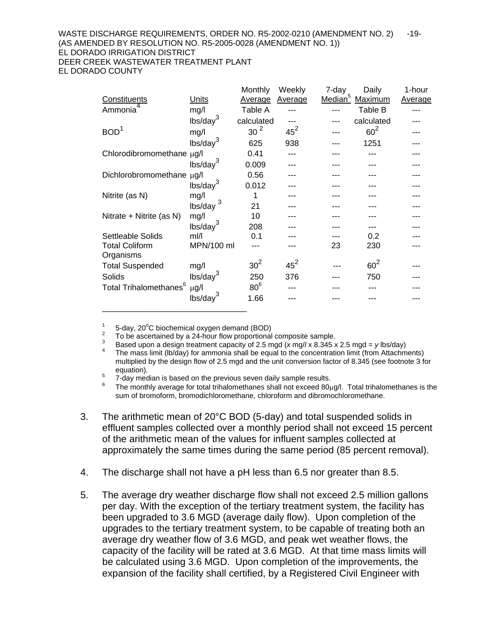#### WASTE DISCHARGE REQUIREMENTS, ORDER NO. R5-2002-0210 (AMENDMENT NO. 2) -19-(AS AMENDED BY RESOLUTION NO. R5-2005-0028 (AMENDMENT NO. 1)) EL DORADO IRRIGATION DISTRICT DEER CREEK WASTEWATER TREATMENT PLANT EL DORADO COUNTY

|                                    |                      | Monthly         | Weekly  | 7-day               | Daily      | 1-hour         |
|------------------------------------|----------------------|-----------------|---------|---------------------|------------|----------------|
| Constituents                       | Units                | Average         | Average | Median <sup>5</sup> | Maximum    | <b>Average</b> |
| Ammonia                            | mg/l                 | Table A         |         |                     | Table B    |                |
|                                    | lbs/day <sup>3</sup> | calculated      |         |                     | calculated |                |
| BOD <sup>1</sup>                   | mg/l                 | 30 <sup>2</sup> | $45^2$  |                     | $60^2$     |                |
|                                    | lbs/day <sup>3</sup> | 625             | 938     |                     | 1251       |                |
| Chlorodibromomethane µg/l          |                      | 0.41            |         |                     |            |                |
|                                    | lbs/day <sup>3</sup> | 0.009           |         |                     |            |                |
| Dichlorobromomethane µg/l          |                      | 0.56            |         |                     |            |                |
|                                    | lbs/day <sup>3</sup> | 0.012           |         |                     |            |                |
| Nitrite (as N)                     | mg/l                 | 1               |         |                     |            |                |
|                                    | 3<br>lbs/day         | 21              |         |                     |            |                |
| Nitrate + Nitrite (as N)           | mg/l                 | 10              |         |                     |            |                |
|                                    | $\text{lbs/day}^3$   | 208             |         |                     |            |                |
| Settleable Solids                  | $m$ //               | 0.1             |         |                     | 0.2        |                |
| <b>Total Coliform</b><br>Organisms | MPN/100 ml           |                 |         | 23                  | 230        |                |
| <b>Total Suspended</b>             | mg/l                 | 30 <sup>2</sup> | $45^2$  |                     | $60^2$     |                |
| Solids                             | lbs/day <sup>3</sup> | 250             | 376     |                     | 750        |                |
| Total Trihalomethanes $^6$         | $\mu$ g/l            | 80 <sup>6</sup> |         |                     |            |                |
|                                    | lbs/day <sup>3</sup> | 1.66            |         |                     |            |                |
|                                    |                      |                 |         |                     |            |                |

1

<sup>1</sup> 5-day, 20<sup>o</sup>C biochemical oxygen demand (BOD)<br><sup>2</sup> To be ascertained by a 24-hour flow proportional composite sample.

3

Based upon a design treatment capacity of 2.5 mgd ( $x \text{ mg}//x 8.345 x 2.5 \text{ mgd} = y \text{ lbs/day}$ )<br>The mass limit (lb/day) for ammonia shall be equal to the concentration limit (from Attachments) multiplied by the design flow of 2.5 mgd and the unit conversion factor of 8.345 (see footnote 3 for

equation).<br>5 7-day median is based on the previous seven daily sample results.<br>6 <del>The provibitions are fortal tribulary than as abell ast associated</del>

 The monthly average for total trihalomethanes shall not exceed 80μg/l. Total trihalomethanes is the sum of bromoform, bromodichloromethane, chloroform and dibromochloromethane.

- 3. The arithmetic mean of 20°C BOD (5-day) and total suspended solids in effluent samples collected over a monthly period shall not exceed 15 percent of the arithmetic mean of the values for influent samples collected at approximately the same times during the same period (85 percent removal).
- 4. The discharge shall not have a pH less than 6.5 nor greater than 8.5.
- 5. The average dry weather discharge flow shall not exceed 2.5 million gallons per day. With the exception of the tertiary treatment system, the facility has been upgraded to 3.6 MGD (average daily flow). Upon completion of the upgrades to the tertiary treatment system, to be capable of treating both an average dry weather flow of 3.6 MGD, and peak wet weather flows, the capacity of the facility will be rated at 3.6 MGD. At that time mass limits will be calculated using 3.6 MGD. Upon completion of the improvements, the expansion of the facility shall certified, by a Registered Civil Engineer with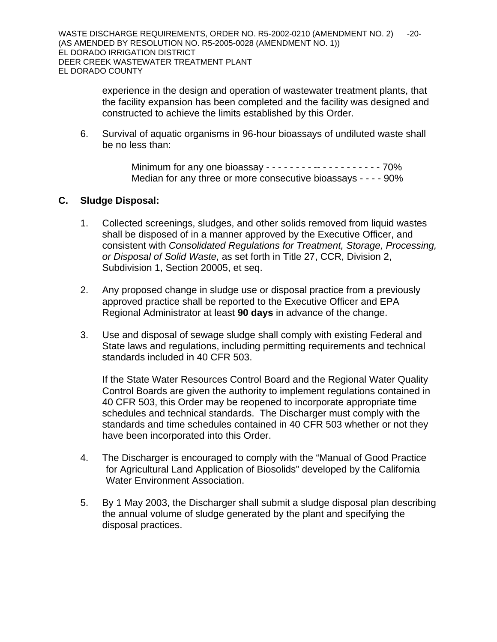experience in the design and operation of wastewater treatment plants, that the facility expansion has been completed and the facility was designed and constructed to achieve the limits established by this Order.

6. Survival of aquatic organisms in 96-hour bioassays of undiluted waste shall be no less than:

> Minimum for any one bioassay - - - - - - - - -- - - - - - - - - - - 70% Median for any three or more consecutive bioassays - - - - 90%

## **C. Sludge Disposal:**

- 1. Collected screenings, sludges, and other solids removed from liquid wastes shall be disposed of in a manner approved by the Executive Officer, and consistent with *Consolidated Regulations for Treatment, Storage, Processing, or Disposal of Solid Waste,* as set forth in Title 27, CCR, Division 2, Subdivision 1, Section 20005, et seq.
- 2. Any proposed change in sludge use or disposal practice from a previously approved practice shall be reported to the Executive Officer and EPA Regional Administrator at least **90 days** in advance of the change.
- 3. Use and disposal of sewage sludge shall comply with existing Federal and State laws and regulations, including permitting requirements and technical standards included in 40 CFR 503.

If the State Water Resources Control Board and the Regional Water Quality Control Boards are given the authority to implement regulations contained in 40 CFR 503, this Order may be reopened to incorporate appropriate time schedules and technical standards. The Discharger must comply with the standards and time schedules contained in 40 CFR 503 whether or not they have been incorporated into this Order.

- 4. The Discharger is encouraged to comply with the "Manual of Good Practice for Agricultural Land Application of Biosolids" developed by the California Water Environment Association.
- 5. By 1 May 2003, the Discharger shall submit a sludge disposal plan describing the annual volume of sludge generated by the plant and specifying the disposal practices.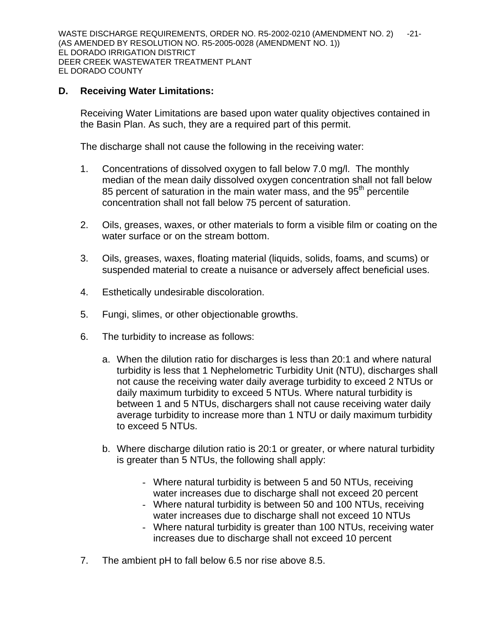WASTE DISCHARGE REQUIREMENTS, ORDER NO. R5-2002-0210 (AMENDMENT NO. 2) -21-(AS AMENDED BY RESOLUTION NO. R5-2005-0028 (AMENDMENT NO. 1)) EL DORADO IRRIGATION DISTRICT DEER CREEK WASTEWATER TREATMENT PLANT EL DORADO COUNTY

## **D. Receiving Water Limitations:**

Receiving Water Limitations are based upon water quality objectives contained in the Basin Plan. As such, they are a required part of this permit.

The discharge shall not cause the following in the receiving water:

- 1. Concentrations of dissolved oxygen to fall below 7.0 mg/l. The monthly median of the mean daily dissolved oxygen concentration shall not fall below 85 percent of saturation in the main water mass, and the  $95<sup>th</sup>$  percentile concentration shall not fall below 75 percent of saturation.
- 2. Oils, greases, waxes, or other materials to form a visible film or coating on the water surface or on the stream bottom.
- 3. Oils, greases, waxes, floating material (liquids, solids, foams, and scums) or suspended material to create a nuisance or adversely affect beneficial uses.
- 4. Esthetically undesirable discoloration.
- 5. Fungi, slimes, or other objectionable growths.
- 6. The turbidity to increase as follows:
	- a. When the dilution ratio for discharges is less than 20:1 and where natural turbidity is less that 1 Nephelometric Turbidity Unit (NTU), discharges shall not cause the receiving water daily average turbidity to exceed 2 NTUs or daily maximum turbidity to exceed 5 NTUs. Where natural turbidity is between 1 and 5 NTUs, dischargers shall not cause receiving water daily average turbidity to increase more than 1 NTU or daily maximum turbidity to exceed 5 NTUs.
	- b. Where discharge dilution ratio is 20:1 or greater, or where natural turbidity is greater than 5 NTUs, the following shall apply:
		- Where natural turbidity is between 5 and 50 NTUs, receiving water increases due to discharge shall not exceed 20 percent
		- Where natural turbidity is between 50 and 100 NTUs, receiving water increases due to discharge shall not exceed 10 NTUs
		- Where natural turbidity is greater than 100 NTUs, receiving water increases due to discharge shall not exceed 10 percent
- 7. The ambient pH to fall below 6.5 nor rise above 8.5.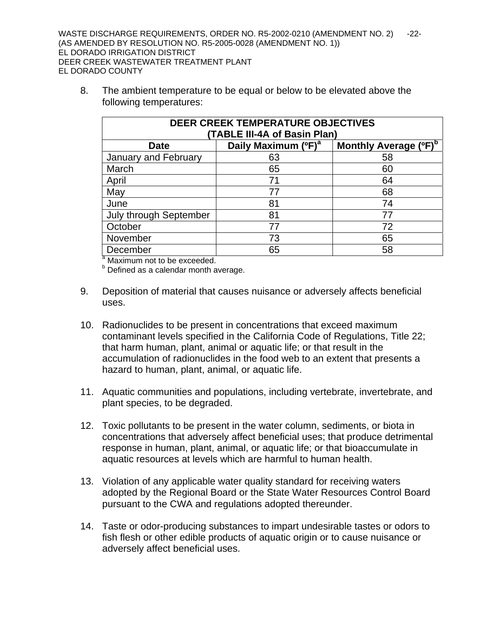8. The ambient temperature to be equal or below to be elevated above the following temperatures:

| <b>DEER CREEK TEMPERATURE OBJECTIVES</b><br>(TABLE III-4A of Basin Plan)            |    |    |  |  |  |  |  |
|-------------------------------------------------------------------------------------|----|----|--|--|--|--|--|
| Monthly Average (°F) <sup>b</sup><br>Daily Maximum (°F) <sup>a</sup><br><b>Date</b> |    |    |  |  |  |  |  |
| January and February                                                                | 63 | 58 |  |  |  |  |  |
| March                                                                               | 65 | 60 |  |  |  |  |  |
| April                                                                               | 71 | 64 |  |  |  |  |  |
| May                                                                                 | 77 | 68 |  |  |  |  |  |
| June                                                                                | 81 | 74 |  |  |  |  |  |
| <b>July through September</b>                                                       | 81 | 77 |  |  |  |  |  |
| October                                                                             | 77 | 72 |  |  |  |  |  |
| November                                                                            | 73 | 65 |  |  |  |  |  |
| December                                                                            | 65 | 58 |  |  |  |  |  |

<sup>a</sup> Maximum not to be exceeded.

**b** Defined as a calendar month average.

- 9. Deposition of material that causes nuisance or adversely affects beneficial uses.
- 10. Radionuclides to be present in concentrations that exceed maximum contaminant levels specified in the California Code of Regulations, Title 22; that harm human, plant, animal or aquatic life; or that result in the accumulation of radionuclides in the food web to an extent that presents a hazard to human, plant, animal, or aquatic life.
- 11. Aquatic communities and populations, including vertebrate, invertebrate, and plant species, to be degraded.
- 12. Toxic pollutants to be present in the water column, sediments, or biota in concentrations that adversely affect beneficial uses; that produce detrimental response in human, plant, animal, or aquatic life; or that bioaccumulate in aquatic resources at levels which are harmful to human health.
- 13. Violation of any applicable water quality standard for receiving waters adopted by the Regional Board or the State Water Resources Control Board pursuant to the CWA and regulations adopted thereunder.
- 14. Taste or odor-producing substances to impart undesirable tastes or odors to fish flesh or other edible products of aquatic origin or to cause nuisance or adversely affect beneficial uses.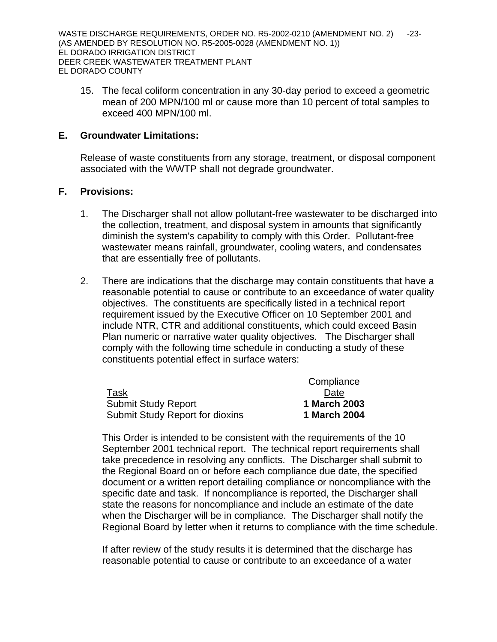15. The fecal coliform concentration in any 30-day period to exceed a geometric mean of 200 MPN/100 ml or cause more than 10 percent of total samples to exceed 400 MPN/100 ml.

### **E. Groundwater Limitations:**

Release of waste constituents from any storage, treatment, or disposal component associated with the WWTP shall not degrade groundwater.

### **F. Provisions:**

- 1. The Discharger shall not allow pollutant-free wastewater to be discharged into the collection, treatment, and disposal system in amounts that significantly diminish the system's capability to comply with this Order. Pollutant-free wastewater means rainfall, groundwater, cooling waters, and condensates that are essentially free of pollutants.
- 2. There are indications that the discharge may contain constituents that have a reasonable potential to cause or contribute to an exceedance of water quality objectives. The constituents are specifically listed in a technical report requirement issued by the Executive Officer on 10 September 2001 and include NTR, CTR and additional constituents, which could exceed Basin Plan numeric or narrative water quality objectives. The Discharger shall comply with the following time schedule in conducting a study of these constituents potential effect in surface waters:

|                                        | Compliance   |
|----------------------------------------|--------------|
| Task                                   | Date         |
| <b>Submit Study Report</b>             | 1 March 2003 |
| <b>Submit Study Report for dioxins</b> | 1 March 2004 |

This Order is intended to be consistent with the requirements of the 10 September 2001 technical report. The technical report requirements shall take precedence in resolving any conflicts. The Discharger shall submit to the Regional Board on or before each compliance due date, the specified document or a written report detailing compliance or noncompliance with the specific date and task. If noncompliance is reported, the Discharger shall state the reasons for noncompliance and include an estimate of the date when the Discharger will be in compliance. The Discharger shall notify the Regional Board by letter when it returns to compliance with the time schedule.

If after review of the study results it is determined that the discharge has reasonable potential to cause or contribute to an exceedance of a water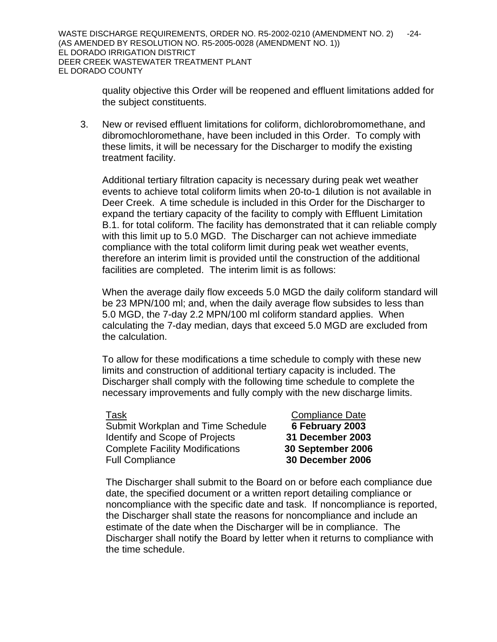quality objective this Order will be reopened and effluent limitations added for the subject constituents.

3. New or revised effluent limitations for coliform, dichlorobromomethane, and dibromochloromethane, have been included in this Order. To comply with these limits, it will be necessary for the Discharger to modify the existing treatment facility.

Additional tertiary filtration capacity is necessary during peak wet weather events to achieve total coliform limits when 20-to-1 dilution is not available in Deer Creek. A time schedule is included in this Order for the Discharger to expand the tertiary capacity of the facility to comply with Effluent Limitation B.1. for total coliform. The facility has demonstrated that it can reliable comply with this limit up to 5.0 MGD. The Discharger can not achieve immediate compliance with the total coliform limit during peak wet weather events, therefore an interim limit is provided until the construction of the additional facilities are completed. The interim limit is as follows:

When the average daily flow exceeds 5.0 MGD the daily coliform standard will be 23 MPN/100 ml; and, when the daily average flow subsides to less than 5.0 MGD, the 7-day 2.2 MPN/100 ml coliform standard applies. When calculating the 7-day median, days that exceed 5.0 MGD are excluded from the calculation.

To allow for these modifications a time schedule to comply with these new limits and construction of additional tertiary capacity is included. The Discharger shall comply with the following time schedule to complete the necessary improvements and fully comply with the new discharge limits.

Task **Task Compliance** Date Submit Workplan and Time Schedule **6 February 2003** Identify and Scope of Projects **31 December 2003** Complete Facility Modifications **30 September 2006** Full Compliance **30 December 2006**

The Discharger shall submit to the Board on or before each compliance due date, the specified document or a written report detailing compliance or noncompliance with the specific date and task. If noncompliance is reported, the Discharger shall state the reasons for noncompliance and include an estimate of the date when the Discharger will be in compliance. The Discharger shall notify the Board by letter when it returns to compliance with the time schedule.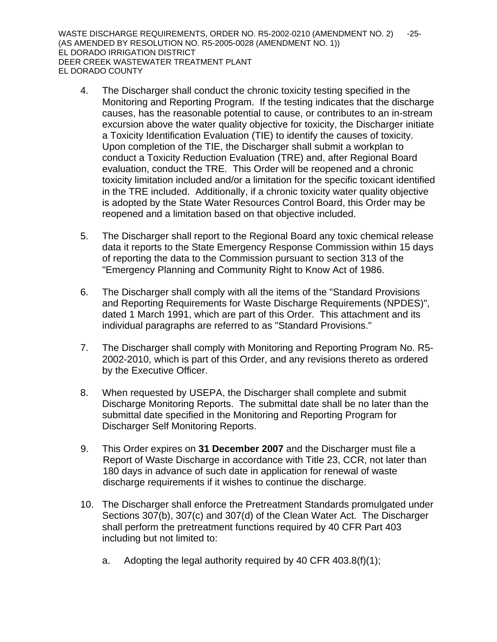WASTE DISCHARGE REQUIREMENTS, ORDER NO. R5-2002-0210 (AMENDMENT NO. 2) -25-(AS AMENDED BY RESOLUTION NO. R5-2005-0028 (AMENDMENT NO. 1)) EL DORADO IRRIGATION DISTRICT DEER CREEK WASTEWATER TREATMENT PLANT EL DORADO COUNTY

- 4. The Discharger shall conduct the chronic toxicity testing specified in the Monitoring and Reporting Program. If the testing indicates that the discharge causes, has the reasonable potential to cause, or contributes to an in-stream excursion above the water quality objective for toxicity, the Discharger initiate a Toxicity Identification Evaluation (TIE) to identify the causes of toxicity. Upon completion of the TIE, the Discharger shall submit a workplan to conduct a Toxicity Reduction Evaluation (TRE) and, after Regional Board evaluation, conduct the TRE. This Order will be reopened and a chronic toxicity limitation included and/or a limitation for the specific toxicant identified in the TRE included. Additionally, if a chronic toxicity water quality objective is adopted by the State Water Resources Control Board, this Order may be reopened and a limitation based on that objective included.
- 5. The Discharger shall report to the Regional Board any toxic chemical release data it reports to the State Emergency Response Commission within 15 days of reporting the data to the Commission pursuant to section 313 of the "Emergency Planning and Community Right to Know Act of 1986.
- 6. The Discharger shall comply with all the items of the "Standard Provisions and Reporting Requirements for Waste Discharge Requirements (NPDES)", dated 1 March 1991, which are part of this Order. This attachment and its individual paragraphs are referred to as "Standard Provisions."
- 7. The Discharger shall comply with Monitoring and Reporting Program No. R5- 2002-2010, which is part of this Order, and any revisions thereto as ordered by the Executive Officer.
- 8. When requested by USEPA, the Discharger shall complete and submit Discharge Monitoring Reports. The submittal date shall be no later than the submittal date specified in the Monitoring and Reporting Program for Discharger Self Monitoring Reports.
- 9. This Order expires on **31 December 2007** and the Discharger must file a Report of Waste Discharge in accordance with Title 23, CCR, not later than 180 days in advance of such date in application for renewal of waste discharge requirements if it wishes to continue the discharge.
- 10. The Discharger shall enforce the Pretreatment Standards promulgated under Sections 307(b), 307(c) and 307(d) of the Clean Water Act. The Discharger shall perform the pretreatment functions required by 40 CFR Part 403 including but not limited to:
	- a. Adopting the legal authority required by 40 CFR 403.8(f)(1);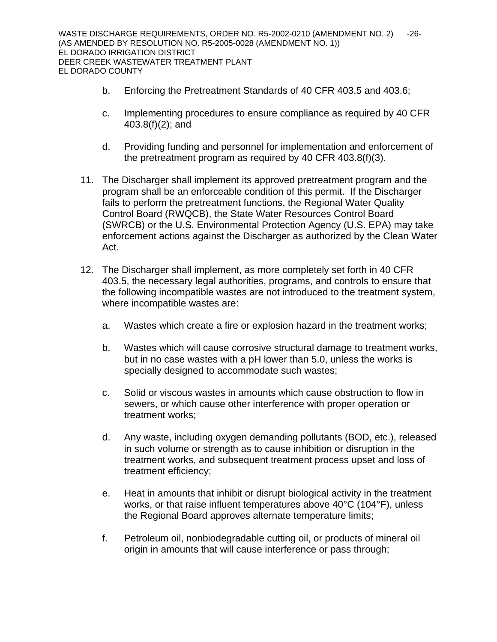- b. Enforcing the Pretreatment Standards of 40 CFR 403.5 and 403.6;
- c. Implementing procedures to ensure compliance as required by 40 CFR 403.8(f)(2); and
- d. Providing funding and personnel for implementation and enforcement of the pretreatment program as required by 40 CFR 403.8(f)(3).
- 11. The Discharger shall implement its approved pretreatment program and the program shall be an enforceable condition of this permit. If the Discharger fails to perform the pretreatment functions, the Regional Water Quality Control Board (RWQCB), the State Water Resources Control Board (SWRCB) or the U.S. Environmental Protection Agency (U.S. EPA) may take enforcement actions against the Discharger as authorized by the Clean Water Act.
- 12. The Discharger shall implement, as more completely set forth in 40 CFR 403.5, the necessary legal authorities, programs, and controls to ensure that the following incompatible wastes are not introduced to the treatment system, where incompatible wastes are:
	- a. Wastes which create a fire or explosion hazard in the treatment works;
	- b. Wastes which will cause corrosive structural damage to treatment works, but in no case wastes with a pH lower than 5.0, unless the works is specially designed to accommodate such wastes;
	- c. Solid or viscous wastes in amounts which cause obstruction to flow in sewers, or which cause other interference with proper operation or treatment works;
	- d. Any waste, including oxygen demanding pollutants (BOD, etc.), released in such volume or strength as to cause inhibition or disruption in the treatment works, and subsequent treatment process upset and loss of treatment efficiency;
	- e. Heat in amounts that inhibit or disrupt biological activity in the treatment works, or that raise influent temperatures above 40°C (104°F), unless the Regional Board approves alternate temperature limits;
	- f. Petroleum oil, nonbiodegradable cutting oil, or products of mineral oil origin in amounts that will cause interference or pass through;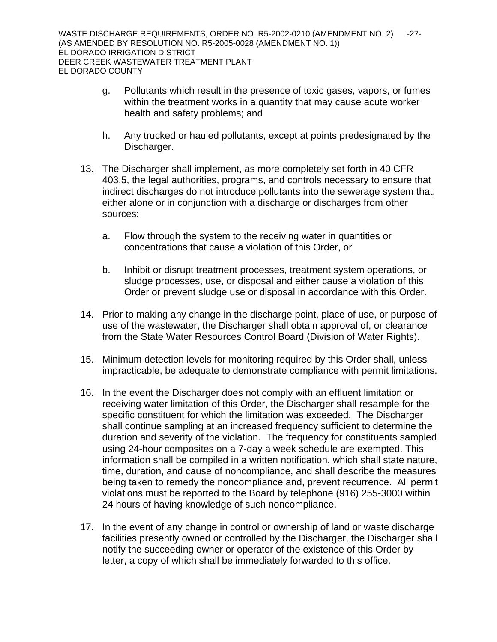- g. Pollutants which result in the presence of toxic gases, vapors, or fumes within the treatment works in a quantity that may cause acute worker health and safety problems; and
- h. Any trucked or hauled pollutants, except at points predesignated by the Discharger.
- 13. The Discharger shall implement, as more completely set forth in 40 CFR 403.5, the legal authorities, programs, and controls necessary to ensure that indirect discharges do not introduce pollutants into the sewerage system that, either alone or in conjunction with a discharge or discharges from other sources:
	- a. Flow through the system to the receiving water in quantities or concentrations that cause a violation of this Order, or
	- b. Inhibit or disrupt treatment processes, treatment system operations, or sludge processes, use, or disposal and either cause a violation of this Order or prevent sludge use or disposal in accordance with this Order.
- 14. Prior to making any change in the discharge point, place of use, or purpose of use of the wastewater, the Discharger shall obtain approval of, or clearance from the State Water Resources Control Board (Division of Water Rights).
- 15. Minimum detection levels for monitoring required by this Order shall, unless impracticable, be adequate to demonstrate compliance with permit limitations.
- 16. In the event the Discharger does not comply with an effluent limitation or receiving water limitation of this Order, the Discharger shall resample for the specific constituent for which the limitation was exceeded. The Discharger shall continue sampling at an increased frequency sufficient to determine the duration and severity of the violation. The frequency for constituents sampled using 24-hour composites on a 7-day a week schedule are exempted. This information shall be compiled in a written notification, which shall state nature, time, duration, and cause of noncompliance, and shall describe the measures being taken to remedy the noncompliance and, prevent recurrence. All permit violations must be reported to the Board by telephone (916) 255-3000 within 24 hours of having knowledge of such noncompliance.
- 17. In the event of any change in control or ownership of land or waste discharge facilities presently owned or controlled by the Discharger, the Discharger shall notify the succeeding owner or operator of the existence of this Order by letter, a copy of which shall be immediately forwarded to this office.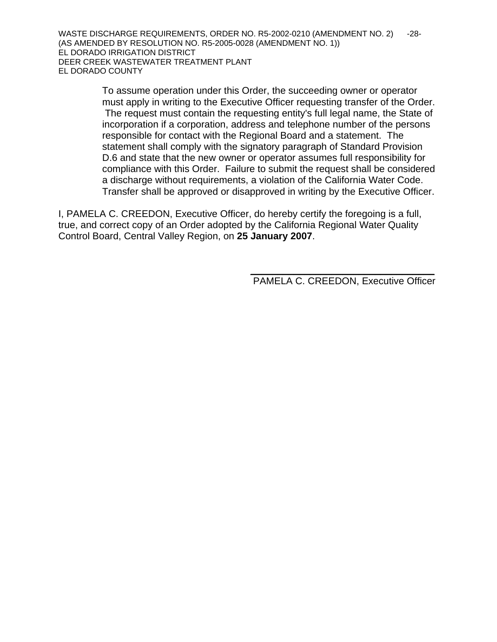To assume operation under this Order, the succeeding owner or operator must apply in writing to the Executive Officer requesting transfer of the Order. The request must contain the requesting entity's full legal name, the State of incorporation if a corporation, address and telephone number of the persons responsible for contact with the Regional Board and a statement. The statement shall comply with the signatory paragraph of Standard Provision D.6 and state that the new owner or operator assumes full responsibility for compliance with this Order. Failure to submit the request shall be considered a discharge without requirements, a violation of the California Water Code. Transfer shall be approved or disapproved in writing by the Executive Officer.

I, PAMELA C. CREEDON, Executive Officer, do hereby certify the foregoing is a full, true, and correct copy of an Order adopted by the California Regional Water Quality Control Board, Central Valley Region, on **25 January 2007**.

 $\frac{1}{\sqrt{2}}$  ,  $\frac{1}{\sqrt{2}}$  ,  $\frac{1}{\sqrt{2}}$  ,  $\frac{1}{\sqrt{2}}$  ,  $\frac{1}{\sqrt{2}}$  ,  $\frac{1}{\sqrt{2}}$  ,  $\frac{1}{\sqrt{2}}$  ,  $\frac{1}{\sqrt{2}}$  ,  $\frac{1}{\sqrt{2}}$  ,  $\frac{1}{\sqrt{2}}$  ,  $\frac{1}{\sqrt{2}}$  ,  $\frac{1}{\sqrt{2}}$  ,  $\frac{1}{\sqrt{2}}$  ,  $\frac{1}{\sqrt{2}}$  ,  $\frac{1}{\sqrt{2}}$ 

PAMELA C. CREEDON, Executive Officer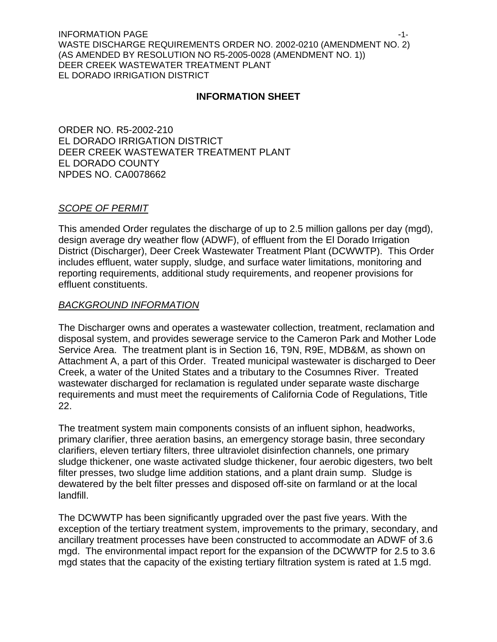INFORMATION PAGE  $\sim$ WASTE DISCHARGE REQUIREMENTS ORDER NO. 2002-0210 (AMENDMENT NO. 2) (AS AMENDED BY RESOLUTION NO R5-2005-0028 (AMENDMENT NO. 1)) DEER CREEK WASTEWATER TREATMENT PLANT EL DORADO IRRIGATION DISTRICT

#### **INFORMATION SHEET**

ORDER NO. R5-2002-210 EL DORADO IRRIGATION DISTRICT DEER CREEK WASTEWATER TREATMENT PLANT EL DORADO COUNTY NPDES NO. CA0078662

#### *SCOPE OF PERMIT*

This amended Order regulates the discharge of up to 2.5 million gallons per day (mgd), design average dry weather flow (ADWF), of effluent from the El Dorado Irrigation District (Discharger), Deer Creek Wastewater Treatment Plant (DCWWTP). This Order includes effluent, water supply, sludge, and surface water limitations, monitoring and reporting requirements, additional study requirements, and reopener provisions for effluent constituents.

#### *BACKGROUND INFORMATION*

The Discharger owns and operates a wastewater collection, treatment, reclamation and disposal system, and provides sewerage service to the Cameron Park and Mother Lode Service Area. The treatment plant is in Section 16, T9N, R9E, MDB&M, as shown on Attachment A, a part of this Order. Treated municipal wastewater is discharged to Deer Creek, a water of the United States and a tributary to the Cosumnes River. Treated wastewater discharged for reclamation is regulated under separate waste discharge requirements and must meet the requirements of California Code of Regulations, Title 22.

The treatment system main components consists of an influent siphon, headworks, primary clarifier, three aeration basins, an emergency storage basin, three secondary clarifiers, eleven tertiary filters, three ultraviolet disinfection channels, one primary sludge thickener, one waste activated sludge thickener, four aerobic digesters, two belt filter presses, two sludge lime addition stations, and a plant drain sump. Sludge is dewatered by the belt filter presses and disposed off-site on farmland or at the local landfill.

The DCWWTP has been significantly upgraded over the past five years. With the exception of the tertiary treatment system, improvements to the primary, secondary, and ancillary treatment processes have been constructed to accommodate an ADWF of 3.6 mgd. The environmental impact report for the expansion of the DCWWTP for 2.5 to 3.6 mgd states that the capacity of the existing tertiary filtration system is rated at 1.5 mgd.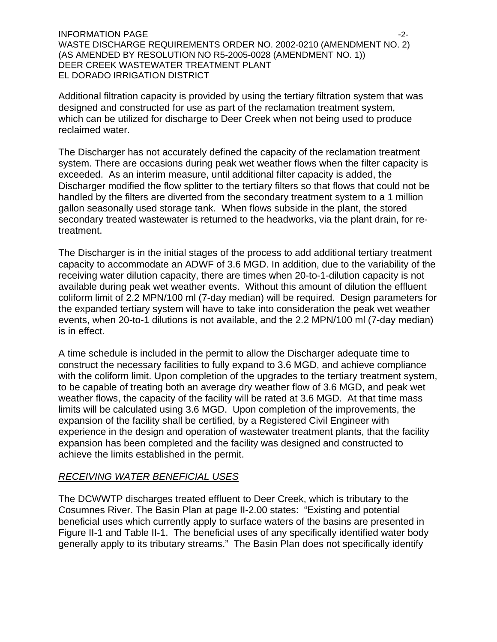INFORMATION PAGE -2- WASTE DISCHARGE REQUIREMENTS ORDER NO. 2002-0210 (AMENDMENT NO. 2) (AS AMENDED BY RESOLUTION NO R5-2005-0028 (AMENDMENT NO. 1)) DEER CREEK WASTEWATER TREATMENT PLANT EL DORADO IRRIGATION DISTRICT

Additional filtration capacity is provided by using the tertiary filtration system that was designed and constructed for use as part of the reclamation treatment system, which can be utilized for discharge to Deer Creek when not being used to produce reclaimed water.

The Discharger has not accurately defined the capacity of the reclamation treatment system. There are occasions during peak wet weather flows when the filter capacity is exceeded. As an interim measure, until additional filter capacity is added, the Discharger modified the flow splitter to the tertiary filters so that flows that could not be handled by the filters are diverted from the secondary treatment system to a 1 million gallon seasonally used storage tank. When flows subside in the plant, the stored secondary treated wastewater is returned to the headworks, via the plant drain, for retreatment.

The Discharger is in the initial stages of the process to add additional tertiary treatment capacity to accommodate an ADWF of 3.6 MGD. In addition, due to the variability of the receiving water dilution capacity, there are times when 20-to-1-dilution capacity is not available during peak wet weather events. Without this amount of dilution the effluent coliform limit of 2.2 MPN/100 ml (7-day median) will be required. Design parameters for the expanded tertiary system will have to take into consideration the peak wet weather events, when 20-to-1 dilutions is not available, and the 2.2 MPN/100 ml (7-day median) is in effect.

A time schedule is included in the permit to allow the Discharger adequate time to construct the necessary facilities to fully expand to 3.6 MGD, and achieve compliance with the coliform limit. Upon completion of the upgrades to the tertiary treatment system, to be capable of treating both an average dry weather flow of 3.6 MGD, and peak wet weather flows, the capacity of the facility will be rated at 3.6 MGD. At that time mass limits will be calculated using 3.6 MGD. Upon completion of the improvements, the expansion of the facility shall be certified, by a Registered Civil Engineer with experience in the design and operation of wastewater treatment plants, that the facility expansion has been completed and the facility was designed and constructed to achieve the limits established in the permit.

### *RECEIVING WATER BENEFICIAL USES*

The DCWWTP discharges treated effluent to Deer Creek, which is tributary to the Cosumnes River. The Basin Plan at page II-2.00 states: "Existing and potential beneficial uses which currently apply to surface waters of the basins are presented in Figure II-1 and Table II-1. The beneficial uses of any specifically identified water body generally apply to its tributary streams." The Basin Plan does not specifically identify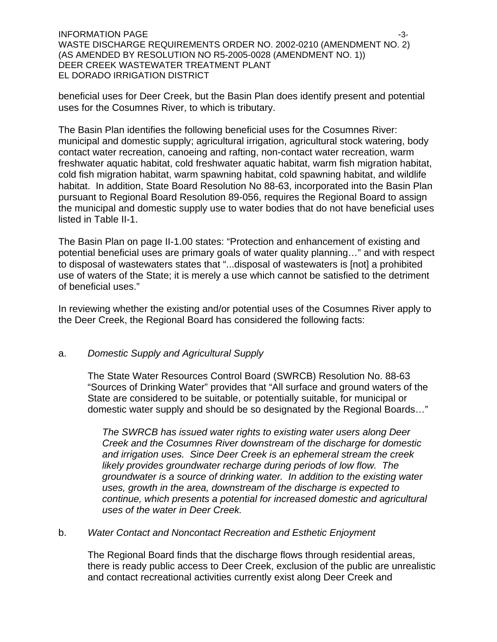$\blacksquare$ INFORMATION PAGE  $\blacksquare$ WASTE DISCHARGE REQUIREMENTS ORDER NO. 2002-0210 (AMENDMENT NO. 2) (AS AMENDED BY RESOLUTION NO R5-2005-0028 (AMENDMENT NO. 1)) DEER CREEK WASTEWATER TREATMENT PLANT EL DORADO IRRIGATION DISTRICT

beneficial uses for Deer Creek, but the Basin Plan does identify present and potential uses for the Cosumnes River, to which is tributary.

The Basin Plan identifies the following beneficial uses for the Cosumnes River: municipal and domestic supply; agricultural irrigation, agricultural stock watering, body contact water recreation, canoeing and rafting, non-contact water recreation, warm freshwater aquatic habitat, cold freshwater aquatic habitat, warm fish migration habitat, cold fish migration habitat, warm spawning habitat, cold spawning habitat, and wildlife habitat. In addition, State Board Resolution No 88-63, incorporated into the Basin Plan pursuant to Regional Board Resolution 89-056, requires the Regional Board to assign the municipal and domestic supply use to water bodies that do not have beneficial uses listed in Table II-1.

The Basin Plan on page II-1.00 states: "Protection and enhancement of existing and potential beneficial uses are primary goals of water quality planning…" and with respect to disposal of wastewaters states that "...disposal of wastewaters is [not] a prohibited use of waters of the State; it is merely a use which cannot be satisfied to the detriment of beneficial uses."

In reviewing whether the existing and/or potential uses of the Cosumnes River apply to the Deer Creek, the Regional Board has considered the following facts:

### a. *Domestic Supply and Agricultural Supply*

The State Water Resources Control Board (SWRCB) Resolution No. 88-63 "Sources of Drinking Water" provides that "All surface and ground waters of the State are considered to be suitable, or potentially suitable, for municipal or domestic water supply and should be so designated by the Regional Boards…"

*The SWRCB has issued water rights to existing water users along Deer Creek and the Cosumnes River downstream of the discharge for domestic and irrigation uses. Since Deer Creek is an ephemeral stream the creek likely provides groundwater recharge during periods of low flow. The groundwater is a source of drinking water. In addition to the existing water uses, growth in the area, downstream of the discharge is expected to continue, which presents a potential for increased domestic and agricultural uses of the water in Deer Creek.* 

### b. *Water Contact and Noncontact Recreation and Esthetic Enjoyment*

 The Regional Board finds that the discharge flows through residential areas, there is ready public access to Deer Creek, exclusion of the public are unrealistic and contact recreational activities currently exist along Deer Creek and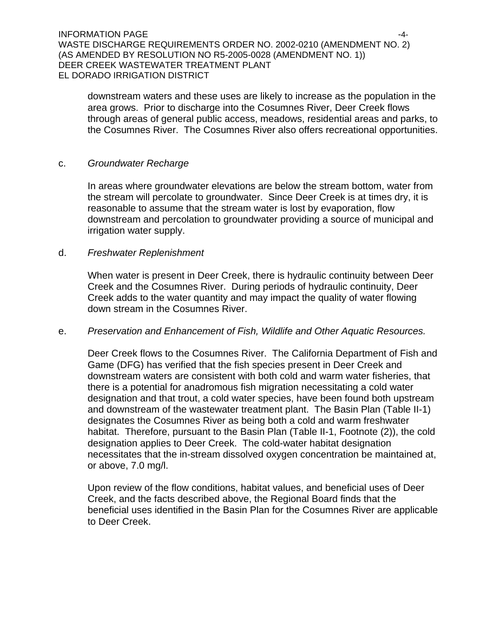INFORMATION PAGE -4- WASTE DISCHARGE REQUIREMENTS ORDER NO. 2002-0210 (AMENDMENT NO. 2) (AS AMENDED BY RESOLUTION NO R5-2005-0028 (AMENDMENT NO. 1)) DEER CREEK WASTEWATER TREATMENT PLANT EL DORADO IRRIGATION DISTRICT

downstream waters and these uses are likely to increase as the population in the area grows. Prior to discharge into the Cosumnes River, Deer Creek flows through areas of general public access, meadows, residential areas and parks, to the Cosumnes River.The Cosumnes River also offers recreational opportunities.

### c. *Groundwater Recharge*

 In areas where groundwater elevations are below the stream bottom, water from the stream will percolate to groundwater. Since Deer Creek is at times dry, it is reasonable to assume that the stream water is lost by evaporation, flow downstream and percolation to groundwater providing a source of municipal and irrigation water supply.

### d. *Freshwater Replenishment*

When water is present in Deer Creek, there is hydraulic continuity between Deer Creek and the Cosumnes River. During periods of hydraulic continuity, Deer Creek adds to the water quantity and may impact the quality of water flowing down stream in the Cosumnes River.

### e. *Preservation and Enhancement of Fish, Wildlife and Other Aquatic Resources.*

 Deer Creek flows to the Cosumnes River. The California Department of Fish and Game (DFG) has verified that the fish species present in Deer Creek and downstream waters are consistent with both cold and warm water fisheries, that there is a potential for anadromous fish migration necessitating a cold water designation and that trout, a cold water species, have been found both upstream and downstream of the wastewater treatment plant. The Basin Plan (Table II-1) designates the Cosumnes River as being both a cold and warm freshwater habitat. Therefore, pursuant to the Basin Plan (Table II-1, Footnote (2)), the cold designation applies to Deer Creek. The cold-water habitat designation necessitates that the in-stream dissolved oxygen concentration be maintained at, or above, 7.0 mg/l.

Upon review of the flow conditions, habitat values, and beneficial uses of Deer Creek, and the facts described above, the Regional Board finds that the beneficial uses identified in the Basin Plan for the Cosumnes River are applicable to Deer Creek.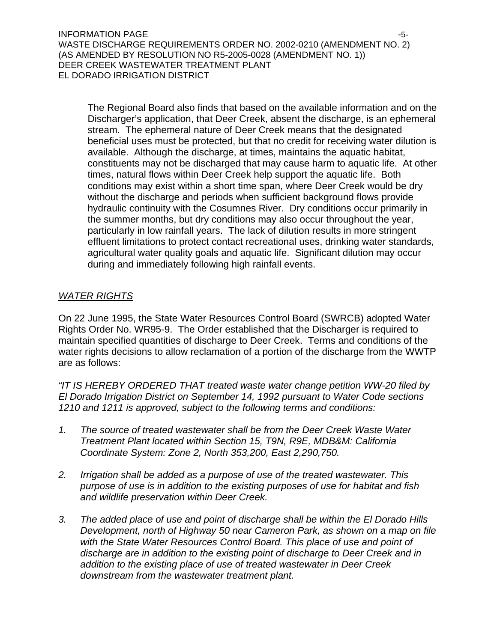$\blacksquare$ INFORMATION PAGE  $\blacksquare$ WASTE DISCHARGE REQUIREMENTS ORDER NO. 2002-0210 (AMENDMENT NO. 2) (AS AMENDED BY RESOLUTION NO R5-2005-0028 (AMENDMENT NO. 1)) DEER CREEK WASTEWATER TREATMENT PLANT EL DORADO IRRIGATION DISTRICT

The Regional Board also finds that based on the available information and on the Discharger's application, that Deer Creek, absent the discharge, is an ephemeral stream. The ephemeral nature of Deer Creek means that the designated beneficial uses must be protected, but that no credit for receiving water dilution is available. Although the discharge, at times, maintains the aquatic habitat, constituents may not be discharged that may cause harm to aquatic life. At other times, natural flows within Deer Creek help support the aquatic life. Both conditions may exist within a short time span, where Deer Creek would be dry without the discharge and periods when sufficient background flows provide hydraulic continuity with the Cosumnes River. Dry conditions occur primarily in the summer months, but dry conditions may also occur throughout the year, particularly in low rainfall years. The lack of dilution results in more stringent effluent limitations to protect contact recreational uses, drinking water standards, agricultural water quality goals and aquatic life. Significant dilution may occur during and immediately following high rainfall events.

### *WATER RIGHTS*

On 22 June 1995, the State Water Resources Control Board (SWRCB) adopted Water Rights Order No. WR95-9. The Order established that the Discharger is required to maintain specified quantities of discharge to Deer Creek. Terms and conditions of the water rights decisions to allow reclamation of a portion of the discharge from the WWTP are as follows:

*"IT IS HEREBY ORDERED THAT treated waste water change petition WW-20 filed by El Dorado Irrigation District on September 14, 1992 pursuant to Water Code sections 1210 and 1211 is approved, subject to the following terms and conditions:* 

- *1. The source of treated wastewater shall be from the Deer Creek Waste Water Treatment Plant located within Section 15, T9N, R9E, MDB&M: California Coordinate System: Zone 2, North 353,200, East 2,290,750.*
- *2. Irrigation shall be added as a purpose of use of the treated wastewater. This purpose of use is in addition to the existing purposes of use for habitat and fish and wildlife preservation within Deer Creek.*
- *3. The added place of use and point of discharge shall be within the El Dorado Hills Development, north of Highway 50 near Cameron Park, as shown on a map on file with the State Water Resources Control Board. This place of use and point of discharge are in addition to the existing point of discharge to Deer Creek and in addition to the existing place of use of treated wastewater in Deer Creek downstream from the wastewater treatment plant.*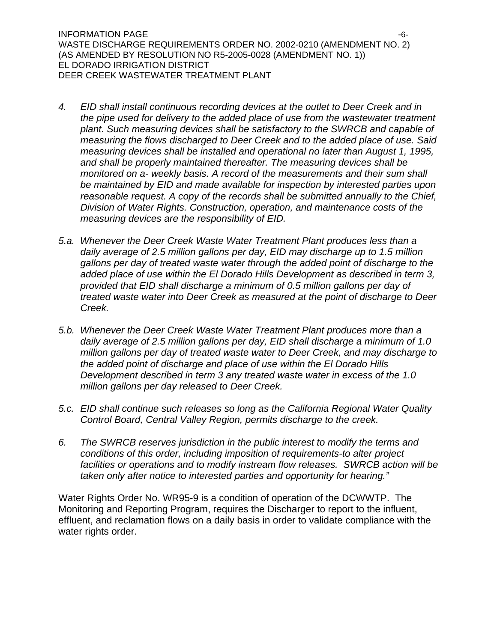INFORMATION PAGE  $-6$ -WASTE DISCHARGE REQUIREMENTS ORDER NO. 2002-0210 (AMENDMENT NO. 2) (AS AMENDED BY RESOLUTION NO R5-2005-0028 (AMENDMENT NO. 1)) EL DORADO IRRIGATION DISTRICT DEER CREEK WASTEWATER TREATMENT PLANT

- *4. EID shall install continuous recording devices at the outlet to Deer Creek and in the pipe used for delivery to the added place of use from the wastewater treatment plant. Such measuring devices shall be satisfactory to the SWRCB and capable of measuring the flows discharged to Deer Creek and to the added place of use. Said measuring devices shall be installed and operational no later than August 1, 1995, and shall be properly maintained thereafter. The measuring devices shall be monitored on a- weekly basis. A record of the measurements and their sum shall be maintained by EID and made available for inspection by interested parties upon reasonable request. A copy of the records shall be submitted annually to the Chief, Division of Water Rights. Construction, operation, and maintenance costs of the measuring devices are the responsibility of EID.*
- *5.a. Whenever the Deer Creek Waste Water Treatment Plant produces less than a daily average of 2.5 million gallons per day, EID may discharge up to 1.5 million gallons per day of treated waste water through the added point of discharge to the added place of use within the El Dorado Hills Development as described in term 3, provided that EID shall discharge a minimum of 0.5 million gallons per day of treated waste water into Deer Creek as measured at the point of discharge to Deer Creek.*
- *5.b. Whenever the Deer Creek Waste Water Treatment Plant produces more than a daily average of 2.5 million gallons per day, EID shall discharge a minimum of 1.0 million gallons per day of treated waste water to Deer Creek, and may discharge to the added point of discharge and place of use within the El Dorado Hills Development described in term 3 any treated waste water in excess of the 1.0 million gallons per day released to Deer Creek.*
- *5.c. EID shall continue such releases so long as the California Regional Water Quality Control Board, Central Valley Region, permits discharge to the creek.*
- *6. The SWRCB reserves jurisdiction in the public interest to modify the terms and conditions of this order, including imposition of requirements-to alter project facilities or operations and to modify instream flow releases. SWRCB action will be taken only after notice to interested parties and opportunity for hearing."*

Water Rights Order No. WR95-9 is a condition of operation of the DCWWTP. The Monitoring and Reporting Program, requires the Discharger to report to the influent, effluent, and reclamation flows on a daily basis in order to validate compliance with the water rights order.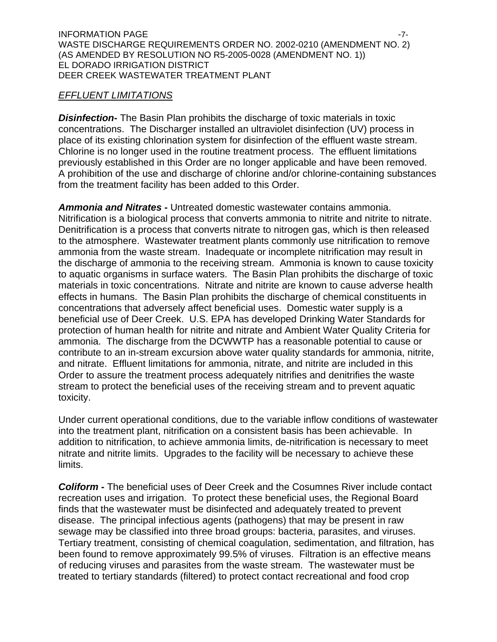### *EFFLUENT LIMITATIONS*

*Disinfection***-** The Basin Plan prohibits the discharge of toxic materials in toxic concentrations. The Discharger installed an ultraviolet disinfection (UV) process in place of its existing chlorination system for disinfection of the effluent waste stream. Chlorine is no longer used in the routine treatment process. The effluent limitations previously established in this Order are no longer applicable and have been removed. A prohibition of the use and discharge of chlorine and/or chlorine-containing substances from the treatment facility has been added to this Order.

*Ammonia and Nitrates* **-** Untreated domestic wastewater contains ammonia. Nitrification is a biological process that converts ammonia to nitrite and nitrite to nitrate. Denitrification is a process that converts nitrate to nitrogen gas, which is then released to the atmosphere. Wastewater treatment plants commonly use nitrification to remove ammonia from the waste stream. Inadequate or incomplete nitrification may result in the discharge of ammonia to the receiving stream. Ammonia is known to cause toxicity to aquatic organisms in surface waters. The Basin Plan prohibits the discharge of toxic materials in toxic concentrations. Nitrate and nitrite are known to cause adverse health effects in humans. The Basin Plan prohibits the discharge of chemical constituents in concentrations that adversely affect beneficial uses. Domestic water supply is a beneficial use of Deer Creek. U.S. EPA has developed Drinking Water Standards for protection of human health for nitrite and nitrate and Ambient Water Quality Criteria for ammonia. The discharge from the DCWWTP has a reasonable potential to cause or contribute to an in-stream excursion above water quality standards for ammonia, nitrite, and nitrate. Effluent limitations for ammonia, nitrate, and nitrite are included in this Order to assure the treatment process adequately nitrifies and denitrifies the waste stream to protect the beneficial uses of the receiving stream and to prevent aquatic toxicity.

Under current operational conditions, due to the variable inflow conditions of wastewater into the treatment plant, nitrification on a consistent basis has been achievable. In addition to nitrification, to achieve ammonia limits, de-nitrification is necessary to meet nitrate and nitrite limits. Upgrades to the facility will be necessary to achieve these limits.

*Coliform* **-** The beneficial uses of Deer Creek and the Cosumnes River include contact recreation uses and irrigation. To protect these beneficial uses, the Regional Board finds that the wastewater must be disinfected and adequately treated to prevent disease. The principal infectious agents (pathogens) that may be present in raw sewage may be classified into three broad groups: bacteria, parasites, and viruses. Tertiary treatment, consisting of chemical coagulation, sedimentation, and filtration, has been found to remove approximately 99.5% of viruses. Filtration is an effective means of reducing viruses and parasites from the waste stream. The wastewater must be treated to tertiary standards (filtered) to protect contact recreational and food crop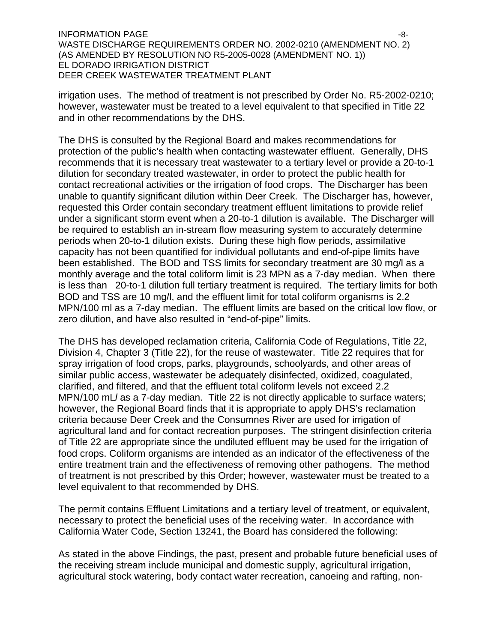$\blacksquare$ INFORMATION PAGE  $\blacksquare$ WASTE DISCHARGE REQUIREMENTS ORDER NO. 2002-0210 (AMENDMENT NO. 2) (AS AMENDED BY RESOLUTION NO R5-2005-0028 (AMENDMENT NO. 1)) EL DORADO IRRIGATION DISTRICT DEER CREEK WASTEWATER TREATMENT PLANT

irrigation uses. The method of treatment is not prescribed by Order No. R5-2002-0210; however, wastewater must be treated to a level equivalent to that specified in Title 22 and in other recommendations by the DHS.

The DHS is consulted by the Regional Board and makes recommendations for protection of the public's health when contacting wastewater effluent. Generally, DHS recommends that it is necessary treat wastewater to a tertiary level or provide a 20-to-1 dilution for secondary treated wastewater, in order to protect the public health for contact recreational activities or the irrigation of food crops. The Discharger has been unable to quantify significant dilution within Deer Creek. The Discharger has, however, requested this Order contain secondary treatment effluent limitations to provide relief under a significant storm event when a 20-to-1 dilution is available. The Discharger will be required to establish an in-stream flow measuring system to accurately determine periods when 20-to-1 dilution exists. During these high flow periods, assimilative capacity has not been quantified for individual pollutants and end-of-pipe limits have been established. The BOD and TSS limits for secondary treatment are 30 mg/l as a monthly average and the total coliform limit is 23 MPN as a 7-day median. When there is less than 20-to-1 dilution full tertiary treatment is required. The tertiary limits for both BOD and TSS are 10 mg/l, and the effluent limit for total coliform organisms is 2.2 MPN/100 ml as a 7-day median. The effluent limits are based on the critical low flow, or zero dilution, and have also resulted in "end-of-pipe" limits.

The DHS has developed reclamation criteria, California Code of Regulations, Title 22, Division 4, Chapter 3 (Title 22), for the reuse of wastewater. Title 22 requires that for spray irrigation of food crops, parks, playgrounds, schoolyards, and other areas of similar public access, wastewater be adequately disinfected, oxidized, coagulated, clarified, and filtered, and that the effluent total coliform levels not exceed 2.2 MPN/100 mL*l* as a 7-day median. Title 22 is not directly applicable to surface waters; however, the Regional Board finds that it is appropriate to apply DHS's reclamation criteria because Deer Creek and the Consumnes River are used for irrigation of agricultural land and for contact recreation purposes. The stringent disinfection criteria of Title 22 are appropriate since the undiluted effluent may be used for the irrigation of food crops. Coliform organisms are intended as an indicator of the effectiveness of the entire treatment train and the effectiveness of removing other pathogens. The method of treatment is not prescribed by this Order; however, wastewater must be treated to a level equivalent to that recommended by DHS.

The permit contains Effluent Limitations and a tertiary level of treatment, or equivalent, necessary to protect the beneficial uses of the receiving water. In accordance with California Water Code, Section 13241, the Board has considered the following:

As stated in the above Findings, the past, present and probable future beneficial uses of the receiving stream include municipal and domestic supply, agricultural irrigation, agricultural stock watering, body contact water recreation, canoeing and rafting, non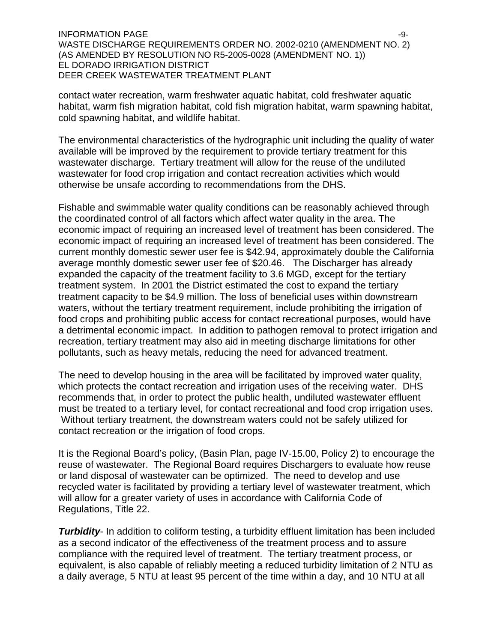$I$ NFORMATION PAGE  $-9$ -9-WASTE DISCHARGE REQUIREMENTS ORDER NO. 2002-0210 (AMENDMENT NO. 2) (AS AMENDED BY RESOLUTION NO R5-2005-0028 (AMENDMENT NO. 1)) EL DORADO IRRIGATION DISTRICT DEER CREEK WASTEWATER TREATMENT PLANT

contact water recreation, warm freshwater aquatic habitat, cold freshwater aquatic habitat, warm fish migration habitat, cold fish migration habitat, warm spawning habitat, cold spawning habitat, and wildlife habitat.

The environmental characteristics of the hydrographic unit including the quality of water available will be improved by the requirement to provide tertiary treatment for this wastewater discharge. Tertiary treatment will allow for the reuse of the undiluted wastewater for food crop irrigation and contact recreation activities which would otherwise be unsafe according to recommendations from the DHS.

Fishable and swimmable water quality conditions can be reasonably achieved through the coordinated control of all factors which affect water quality in the area. The economic impact of requiring an increased level of treatment has been considered. The economic impact of requiring an increased level of treatment has been considered. The current monthly domestic sewer user fee is \$42.94, approximately double the California average monthly domestic sewer user fee of \$20.46. The Discharger has already expanded the capacity of the treatment facility to 3.6 MGD, except for the tertiary treatment system. In 2001 the District estimated the cost to expand the tertiary treatment capacity to be \$4.9 million. The loss of beneficial uses within downstream waters, without the tertiary treatment requirement, include prohibiting the irrigation of food crops and prohibiting public access for contact recreational purposes, would have a detrimental economic impact. In addition to pathogen removal to protect irrigation and recreation, tertiary treatment may also aid in meeting discharge limitations for other pollutants, such as heavy metals, reducing the need for advanced treatment.

The need to develop housing in the area will be facilitated by improved water quality, which protects the contact recreation and irrigation uses of the receiving water. DHS recommends that, in order to protect the public health, undiluted wastewater effluent must be treated to a tertiary level, for contact recreational and food crop irrigation uses. Without tertiary treatment, the downstream waters could not be safely utilized for contact recreation or the irrigation of food crops.

It is the Regional Board's policy, (Basin Plan, page IV-15.00, Policy 2) to encourage the reuse of wastewater. The Regional Board requires Dischargers to evaluate how reuse or land disposal of wastewater can be optimized. The need to develop and use recycled water is facilitated by providing a tertiary level of wastewater treatment, which will allow for a greater variety of uses in accordance with California Code of Regulations, Title 22.

**Turbidity-** In addition to coliform testing, a turbidity effluent limitation has been included as a second indicator of the effectiveness of the treatment process and to assure compliance with the required level of treatment. The tertiary treatment process, or equivalent, is also capable of reliably meeting a reduced turbidity limitation of 2 NTU as a daily average, 5 NTU at least 95 percent of the time within a day, and 10 NTU at all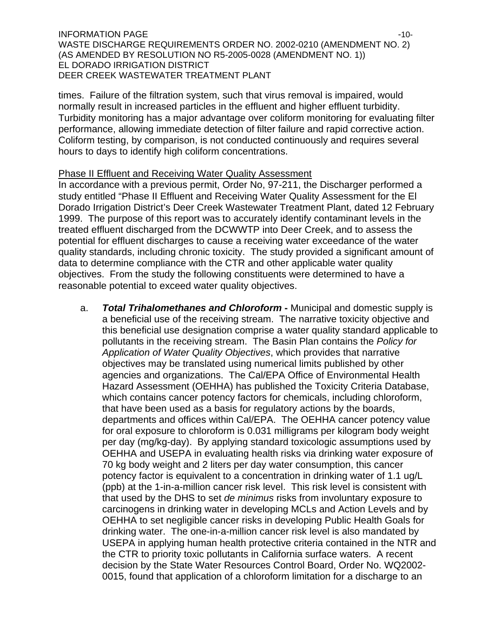#### INFORMATION PAGE  $\sim$ WASTE DISCHARGE REQUIREMENTS ORDER NO. 2002-0210 (AMENDMENT NO. 2) (AS AMENDED BY RESOLUTION NO R5-2005-0028 (AMENDMENT NO. 1)) EL DORADO IRRIGATION DISTRICT DEER CREEK WASTEWATER TREATMENT PLANT

times. Failure of the filtration system, such that virus removal is impaired, would normally result in increased particles in the effluent and higher effluent turbidity. Turbidity monitoring has a major advantage over coliform monitoring for evaluating filter performance, allowing immediate detection of filter failure and rapid corrective action. Coliform testing, by comparison, is not conducted continuously and requires several hours to days to identify high coliform concentrations.

### Phase II Effluent and Receiving Water Quality Assessment

In accordance with a previous permit, Order No, 97-211, the Discharger performed a study entitled "Phase II Effluent and Receiving Water Quality Assessment for the El Dorado Irrigation District's Deer Creek Wastewater Treatment Plant, dated 12 February 1999. The purpose of this report was to accurately identify contaminant levels in the treated effluent discharged from the DCWWTP into Deer Creek, and to assess the potential for effluent discharges to cause a receiving water exceedance of the water quality standards, including chronic toxicity. The study provided a significant amount of data to determine compliance with the CTR and other applicable water quality objectives. From the study the following constituents were determined to have a reasonable potential to exceed water quality objectives.

a. *Total Trihalomethanes and Chloroform* **-** Municipal and domestic supply is a beneficial use of the receiving stream. The narrative toxicity objective and this beneficial use designation comprise a water quality standard applicable to pollutants in the receiving stream. The Basin Plan contains the *Policy for Application of Water Quality Objectives*, which provides that narrative objectives may be translated using numerical limits published by other agencies and organizations. The Cal/EPA Office of Environmental Health Hazard Assessment (OEHHA) has published the Toxicity Criteria Database, which contains cancer potency factors for chemicals, including chloroform, that have been used as a basis for regulatory actions by the boards, departments and offices within Cal/EPA. The OEHHA cancer potency value for oral exposure to chloroform is 0.031 milligrams per kilogram body weight per day (mg/kg-day). By applying standard toxicologic assumptions used by OEHHA and USEPA in evaluating health risks via drinking water exposure of 70 kg body weight and 2 liters per day water consumption, this cancer potency factor is equivalent to a concentration in drinking water of 1.1 ug/L (ppb) at the 1-in-a-million cancer risk level. This risk level is consistent with that used by the DHS to set *de minimus* risks from involuntary exposure to carcinogens in drinking water in developing MCLs and Action Levels and by OEHHA to set negligible cancer risks in developing Public Health Goals for drinking water. The one-in-a-million cancer risk level is also mandated by USEPA in applying human health protective criteria contained in the NTR and the CTR to priority toxic pollutants in California surface waters. A recent decision by the State Water Resources Control Board, Order No. WQ2002- 0015, found that application of a chloroform limitation for a discharge to an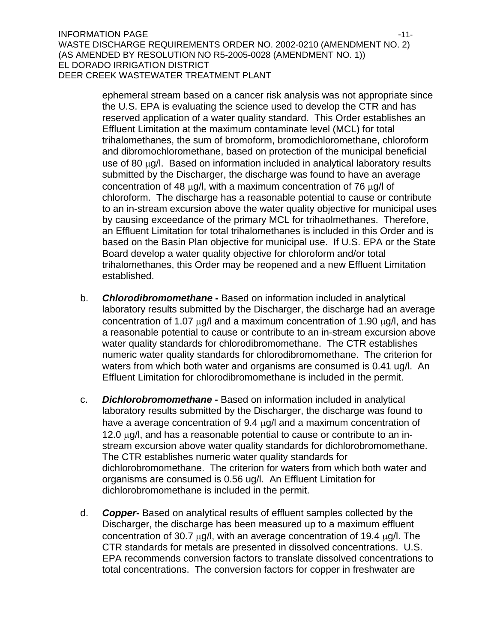ephemeral stream based on a cancer risk analysis was not appropriate since the U.S. EPA is evaluating the science used to develop the CTR and has reserved application of a water quality standard. This Order establishes an Effluent Limitation at the maximum contaminate level (MCL) for total trihalomethanes, the sum of bromoform, bromodichloromethane, chloroform and dibromochloromethane, based on protection of the municipal beneficial use of 80 μg/l. Based on information included in analytical laboratory results submitted by the Discharger, the discharge was found to have an average concentration of 48 μg/l, with a maximum concentration of 76 μg/l of chloroform. The discharge has a reasonable potential to cause or contribute to an in-stream excursion above the water quality objective for municipal uses by causing exceedance of the primary MCL for trihaolmethanes. Therefore, an Effluent Limitation for total trihalomethanes is included in this Order and is based on the Basin Plan objective for municipal use. If U.S. EPA or the State Board develop a water quality objective for chloroform and/or total trihalomethanes, this Order may be reopened and a new Effluent Limitation established.

- b. *Chlorodibromomethane* **-** Based on information included in analytical laboratory results submitted by the Discharger, the discharge had an average concentration of 1.07 μg/l and a maximum concentration of 1.90 μg/l, and has a reasonable potential to cause or contribute to an in-stream excursion above water quality standards for chlorodibromomethane. The CTR establishes numeric water quality standards for chlorodibromomethane. The criterion for waters from which both water and organisms are consumed is 0.41 ug/l. An Effluent Limitation for chlorodibromomethane is included in the permit.
- c. *Dichlorobromomethane* **-** Based on information included in analytical laboratory results submitted by the Discharger, the discharge was found to have a average concentration of 9.4 μg/l and a maximum concentration of 12.0 μg/l, and has a reasonable potential to cause or contribute to an instream excursion above water quality standards for dichlorobromomethane. The CTR establishes numeric water quality standards for dichlorobromomethane. The criterion for waters from which both water and organisms are consumed is 0.56 ug/l. An Effluent Limitation for dichlorobromomethane is included in the permit.
- d. *Copper***-** Based on analytical results of effluent samples collected by the Discharger, the discharge has been measured up to a maximum effluent concentration of 30.7 μg/l, with an average concentration of 19.4 μg/l. The CTR standards for metals are presented in dissolved concentrations. U.S. EPA recommends conversion factors to translate dissolved concentrations to total concentrations. The conversion factors for copper in freshwater are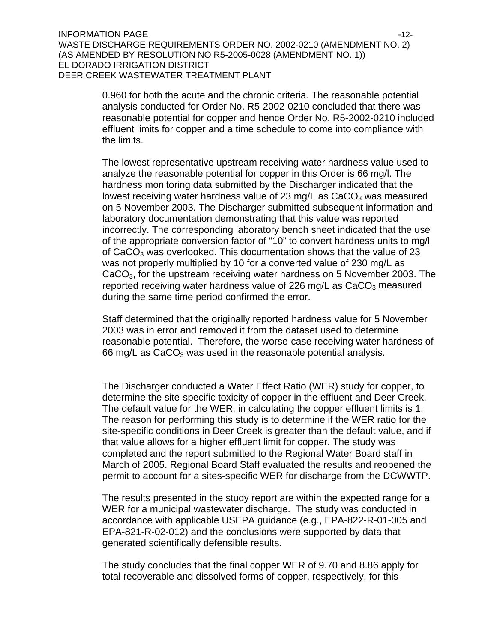INFORMATION PAGE  $\sim$  12-WASTE DISCHARGE REQUIREMENTS ORDER NO. 2002-0210 (AMENDMENT NO. 2) (AS AMENDED BY RESOLUTION NO R5-2005-0028 (AMENDMENT NO. 1)) EL DORADO IRRIGATION DISTRICT DEER CREEK WASTEWATER TREATMENT PLANT

> 0.960 for both the acute and the chronic criteria. The reasonable potential analysis conducted for Order No. R5-2002-0210 concluded that there was reasonable potential for copper and hence Order No. R5-2002-0210 included effluent limits for copper and a time schedule to come into compliance with the limits.

> The lowest representative upstream receiving water hardness value used to analyze the reasonable potential for copper in this Order is 66 mg/l. The hardness monitoring data submitted by the Discharger indicated that the lowest receiving water hardness value of 23 mg/L as  $CaCO<sub>3</sub>$  was measured on 5 November 2003. The Discharger submitted subsequent information and laboratory documentation demonstrating that this value was reported incorrectly. The corresponding laboratory bench sheet indicated that the use of the appropriate conversion factor of "10" to convert hardness units to mg/l of CaCO<sub>3</sub> was overlooked. This documentation shows that the value of 23 was not properly multiplied by 10 for a converted value of 230 mg/L as CaCO<sub>3</sub>, for the upstream receiving water hardness on 5 November 2003. The reported receiving water hardness value of 226 mg/L as  $CaCO<sub>3</sub>$  measured during the same time period confirmed the error.

> Staff determined that the originally reported hardness value for 5 November 2003 was in error and removed it from the dataset used to determine reasonable potential. Therefore, the worse-case receiving water hardness of 66 mg/L as  $CaCO<sub>3</sub>$  was used in the reasonable potential analysis.

> The Discharger conducted a Water Effect Ratio (WER) study for copper, to determine the site-specific toxicity of copper in the effluent and Deer Creek. The default value for the WER, in calculating the copper effluent limits is 1. The reason for performing this study is to determine if the WER ratio for the site-specific conditions in Deer Creek is greater than the default value, and if that value allows for a higher effluent limit for copper. The study was completed and the report submitted to the Regional Water Board staff in March of 2005. Regional Board Staff evaluated the results and reopened the permit to account for a sites-specific WER for discharge from the DCWWTP.

> The results presented in the study report are within the expected range for a WER for a municipal wastewater discharge. The study was conducted in accordance with applicable USEPA guidance (e.g., EPA-822-R-01-005 and EPA-821-R-02-012) and the conclusions were supported by data that generated scientifically defensible results.

The study concludes that the final copper WER of 9.70 and 8.86 apply for total recoverable and dissolved forms of copper, respectively, for this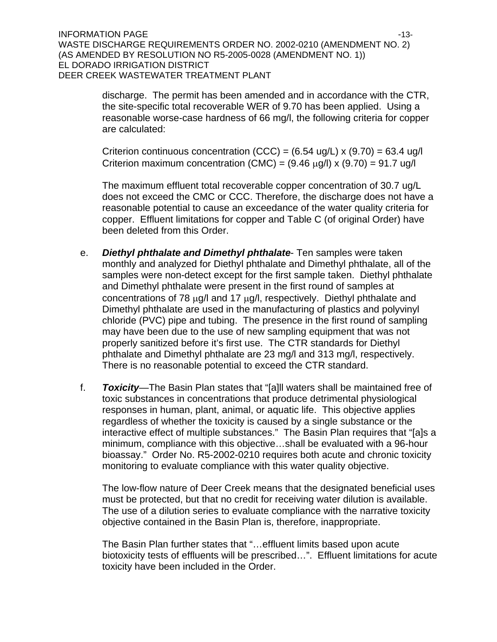INFORMATION PAGE  $\sim$ WASTE DISCHARGE REQUIREMENTS ORDER NO. 2002-0210 (AMENDMENT NO. 2) (AS AMENDED BY RESOLUTION NO R5-2005-0028 (AMENDMENT NO. 1)) EL DORADO IRRIGATION DISTRICT DEER CREEK WASTEWATER TREATMENT PLANT

> discharge. The permit has been amended and in accordance with the CTR, the site-specific total recoverable WER of 9.70 has been applied. Using a reasonable worse-case hardness of 66 mg/l, the following criteria for copper are calculated:

Criterion continuous concentration (CCC) =  $(6.54 \text{ ug/L}) \times (9.70) = 63.4 \text{ ug/l}$ Criterion maximum concentration (CMC) =  $(9.46 \mu g/l) \times (9.70) = 91.7 \mu g/l$ 

The maximum effluent total recoverable copper concentration of 30.7 ug/L does not exceed the CMC or CCC. Therefore, the discharge does not have a reasonable potential to cause an exceedance of the water quality criteria for copper. Effluent limitations for copper and Table C (of original Order) have been deleted from this Order.

- e. *Diethyl phthalate and Dimethyl phthalate* Ten samples were taken monthly and analyzed for Diethyl phthalate and Dimethyl phthalate, all of the samples were non-detect except for the first sample taken. Diethyl phthalate and Dimethyl phthalate were present in the first round of samples at concentrations of 78 μg/l and 17 μg/l, respectively. Diethyl phthalate and Dimethyl phthalate are used in the manufacturing of plastics and polyvinyl chloride (PVC) pipe and tubing. The presence in the first round of sampling may have been due to the use of new sampling equipment that was not properly sanitized before it's first use. The CTR standards for Diethyl phthalate and Dimethyl phthalate are 23 mg/l and 313 mg/l, respectively. There is no reasonable potential to exceed the CTR standard.
- f. *Toxicity—*The Basin Plan states that "[a]ll waters shall be maintained free of toxic substances in concentrations that produce detrimental physiological responses in human, plant, animal, or aquatic life. This objective applies regardless of whether the toxicity is caused by a single substance or the interactive effect of multiple substances." The Basin Plan requires that "[a]s a minimum, compliance with this objective…shall be evaluated with a 96-hour bioassay." Order No. R5-2002-0210 requires both acute and chronic toxicity monitoring to evaluate compliance with this water quality objective.

The low-flow nature of Deer Creek means that the designated beneficial uses must be protected, but that no credit for receiving water dilution is available. The use of a dilution series to evaluate compliance with the narrative toxicity objective contained in the Basin Plan is, therefore, inappropriate.

The Basin Plan further states that "…effluent limits based upon acute biotoxicity tests of effluents will be prescribed…". Effluent limitations for acute toxicity have been included in the Order.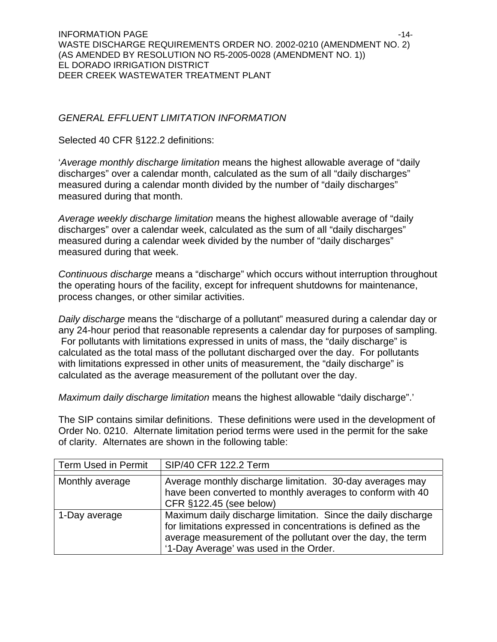### *GENERAL EFFLUENT LIMITATION INFORMATION*

Selected 40 CFR §122.2 definitions:

'*Average monthly discharge limitation* means the highest allowable average of "daily discharges" over a calendar month, calculated as the sum of all "daily discharges" measured during a calendar month divided by the number of "daily discharges" measured during that month.

*Average weekly discharge limitation* means the highest allowable average of "daily discharges" over a calendar week, calculated as the sum of all "daily discharges" measured during a calendar week divided by the number of "daily discharges" measured during that week.

*Continuous discharge* means a "discharge" which occurs without interruption throughout the operating hours of the facility, except for infrequent shutdowns for maintenance, process changes, or other similar activities.

*Daily discharge* means the "discharge of a pollutant" measured during a calendar day or any 24-hour period that reasonable represents a calendar day for purposes of sampling. For pollutants with limitations expressed in units of mass, the "daily discharge" is calculated as the total mass of the pollutant discharged over the day. For pollutants with limitations expressed in other units of measurement, the "daily discharge" is calculated as the average measurement of the pollutant over the day.

*Maximum daily discharge limitation* means the highest allowable "daily discharge".'

The SIP contains similar definitions. These definitions were used in the development of Order No. 0210. Alternate limitation period terms were used in the permit for the sake of clarity. Alternates are shown in the following table:

| <b>Term Used in Permit</b> | SIP/40 CFR 122.2 Term                                                                                                                                                                                                                   |
|----------------------------|-----------------------------------------------------------------------------------------------------------------------------------------------------------------------------------------------------------------------------------------|
| Monthly average            | Average monthly discharge limitation. 30-day averages may<br>have been converted to monthly averages to conform with 40                                                                                                                 |
|                            | CFR §122.45 (see below)                                                                                                                                                                                                                 |
| 1-Day average              | Maximum daily discharge limitation. Since the daily discharge<br>for limitations expressed in concentrations is defined as the<br>average measurement of the pollutant over the day, the term<br>'1-Day Average' was used in the Order. |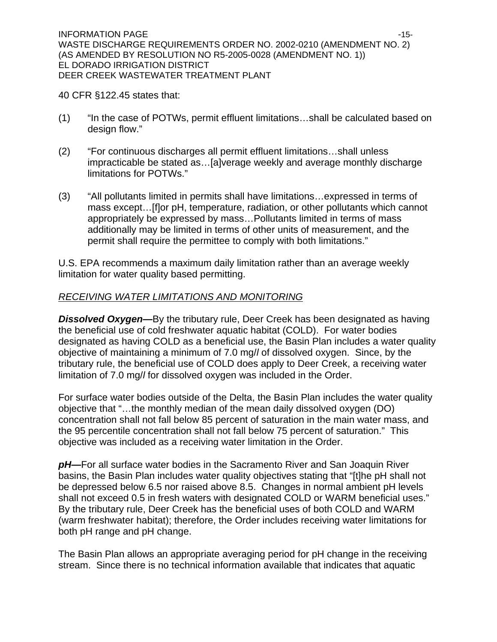40 CFR §122.45 states that:

- (1) "In the case of POTWs, permit effluent limitations…shall be calculated based on design flow."
- (2) "For continuous discharges all permit effluent limitations…shall unless impracticable be stated as…[a]verage weekly and average monthly discharge limitations for POTWs."
- (3) "All pollutants limited in permits shall have limitations…expressed in terms of mass except…[f]or pH, temperature, radiation, or other pollutants which cannot appropriately be expressed by mass…Pollutants limited in terms of mass additionally may be limited in terms of other units of measurement, and the permit shall require the permittee to comply with both limitations."

U.S. EPA recommends a maximum daily limitation rather than an average weekly limitation for water quality based permitting.

## *RECEIVING WATER LIMITATIONS AND MONITORING*

*Dissolved Oxygen—*By the tributary rule, Deer Creek has been designated as having the beneficial use of cold freshwater aquatic habitat (COLD). For water bodies designated as having COLD as a beneficial use, the Basin Plan includes a water quality objective of maintaining a minimum of 7.0 mg/*l* of dissolved oxygen. Since, by the tributary rule, the beneficial use of COLD does apply to Deer Creek, a receiving water limitation of 7.0 mg/*l* for dissolved oxygen was included in the Order.

For surface water bodies outside of the Delta, the Basin Plan includes the water quality objective that "…the monthly median of the mean daily dissolved oxygen (DO) concentration shall not fall below 85 percent of saturation in the main water mass, and the 95 percentile concentration shall not fall below 75 percent of saturation." This objective was included as a receiving water limitation in the Order.

*pH—*For all surface water bodies in the Sacramento River and San Joaquin River basins, the Basin Plan includes water quality objectives stating that "[t]he pH shall not be depressed below 6.5 nor raised above 8.5. Changes in normal ambient pH levels shall not exceed 0.5 in fresh waters with designated COLD or WARM beneficial uses." By the tributary rule, Deer Creek has the beneficial uses of both COLD and WARM (warm freshwater habitat); therefore, the Order includes receiving water limitations for both pH range and pH change.

The Basin Plan allows an appropriate averaging period for pH change in the receiving stream. Since there is no technical information available that indicates that aquatic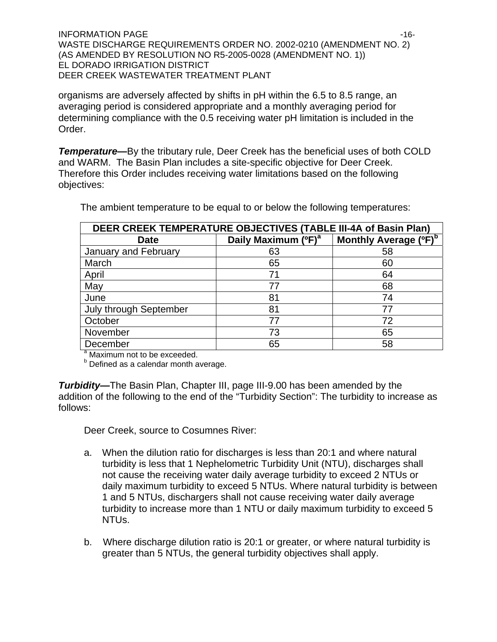INFORMATION PAGE  $\sim$ WASTE DISCHARGE REQUIREMENTS ORDER NO. 2002-0210 (AMENDMENT NO. 2) (AS AMENDED BY RESOLUTION NO R5-2005-0028 (AMENDMENT NO. 1)) EL DORADO IRRIGATION DISTRICT DEER CREEK WASTEWATER TREATMENT PLANT

organisms are adversely affected by shifts in pH within the 6.5 to 8.5 range, an averaging period is considered appropriate and a monthly averaging period for determining compliance with the 0.5 receiving water pH limitation is included in the Order.

*Temperature—*By the tributary rule, Deer Creek has the beneficial uses of both COLD and WARM. The Basin Plan includes a site-specific objective for Deer Creek. Therefore this Order includes receiving water limitations based on the following objectives:

| DEER CREEK TEMPERATURE OBJECTIVES (TABLE III-4A of Basin Plan) |                                 |                                   |  |  |  |  |
|----------------------------------------------------------------|---------------------------------|-----------------------------------|--|--|--|--|
| <b>Date</b>                                                    | Daily Maximum (°F) <sup>a</sup> | Monthly Average (°F) <sup>b</sup> |  |  |  |  |
| January and February                                           | 63                              | 58                                |  |  |  |  |
| March                                                          | 65                              | 60                                |  |  |  |  |
| April                                                          | 71                              | 64                                |  |  |  |  |
| May                                                            | 77                              | 68                                |  |  |  |  |
| June                                                           | 81                              | 74                                |  |  |  |  |
| <b>July through September</b>                                  | 81                              | 77                                |  |  |  |  |
| October                                                        | 77                              | 72                                |  |  |  |  |
| November                                                       | 73                              | 65                                |  |  |  |  |
| December                                                       | 65                              | 58                                |  |  |  |  |

The ambient temperature to be equal to or below the following temperatures:

<sup>a</sup> Maximum not to be exceeded.

**b** Defined as a calendar month average.

*Turbidity—*The Basin Plan, Chapter III, page III-9.00 has been amended by the addition of the following to the end of the "Turbidity Section": The turbidity to increase as follows:

Deer Creek, source to Cosumnes River:

- a. When the dilution ratio for discharges is less than 20:1 and where natural turbidity is less that 1 Nephelometric Turbidity Unit (NTU), discharges shall not cause the receiving water daily average turbidity to exceed 2 NTUs or daily maximum turbidity to exceed 5 NTUs. Where natural turbidity is between 1 and 5 NTUs, dischargers shall not cause receiving water daily average turbidity to increase more than 1 NTU or daily maximum turbidity to exceed 5 NTUs.
- b. Where discharge dilution ratio is 20:1 or greater, or where natural turbidity is greater than 5 NTUs, the general turbidity objectives shall apply.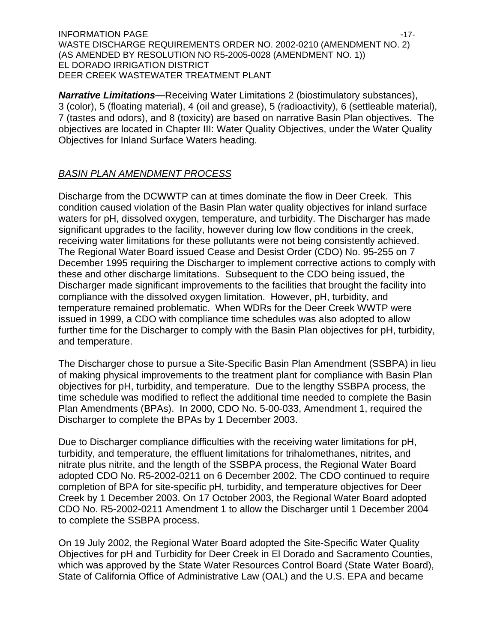$\blacksquare$ INFORMATION PAGE  $\blacksquare$ WASTE DISCHARGE REQUIREMENTS ORDER NO. 2002-0210 (AMENDMENT NO. 2) (AS AMENDED BY RESOLUTION NO R5-2005-0028 (AMENDMENT NO. 1)) EL DORADO IRRIGATION DISTRICT DEER CREEK WASTEWATER TREATMENT PLANT

*Narrative Limitations—*Receiving Water Limitations 2 (biostimulatory substances), 3 (color), 5 (floating material), 4 (oil and grease), 5 (radioactivity), 6 (settleable material), 7 (tastes and odors), and 8 (toxicity) are based on narrative Basin Plan objectives. The objectives are located in Chapter III: Water Quality Objectives, under the Water Quality Objectives for Inland Surface Waters heading.

## *BASIN PLAN AMENDMENT PROCESS*

Discharge from the DCWWTP can at times dominate the flow in Deer Creek. This condition caused violation of the Basin Plan water quality objectives for inland surface waters for pH, dissolved oxygen, temperature, and turbidity. The Discharger has made significant upgrades to the facility, however during low flow conditions in the creek, receiving water limitations for these pollutants were not being consistently achieved. The Regional Water Board issued Cease and Desist Order (CDO) No. 95-255 on 7 December 1995 requiring the Discharger to implement corrective actions to comply with these and other discharge limitations. Subsequent to the CDO being issued, the Discharger made significant improvements to the facilities that brought the facility into compliance with the dissolved oxygen limitation. However, pH, turbidity, and temperature remained problematic. When WDRs for the Deer Creek WWTP were issued in 1999, a CDO with compliance time schedules was also adopted to allow further time for the Discharger to comply with the Basin Plan objectives for pH, turbidity, and temperature.

The Discharger chose to pursue a Site-Specific Basin Plan Amendment (SSBPA) in lieu of making physical improvements to the treatment plant for compliance with Basin Plan objectives for pH, turbidity, and temperature. Due to the lengthy SSBPA process, the time schedule was modified to reflect the additional time needed to complete the Basin Plan Amendments (BPAs). In 2000, CDO No. 5-00-033, Amendment 1, required the Discharger to complete the BPAs by 1 December 2003.

Due to Discharger compliance difficulties with the receiving water limitations for pH, turbidity, and temperature, the effluent limitations for trihalomethanes, nitrites, and nitrate plus nitrite, and the length of the SSBPA process, the Regional Water Board adopted CDO No. R5-2002-0211 on 6 December 2002. The CDO continued to require completion of BPA for site-specific pH, turbidity, and temperature objectives for Deer Creek by 1 December 2003. On 17 October 2003, the Regional Water Board adopted CDO No. R5-2002-0211 Amendment 1 to allow the Discharger until 1 December 2004 to complete the SSBPA process.

On 19 July 2002, the Regional Water Board adopted the Site-Specific Water Quality Objectives for pH and Turbidity for Deer Creek in El Dorado and Sacramento Counties, which was approved by the State Water Resources Control Board (State Water Board), State of California Office of Administrative Law (OAL) and the U.S. EPA and became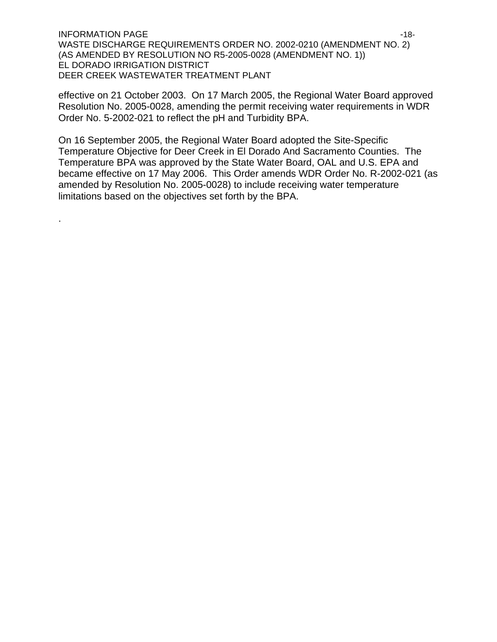INFORMATION PAGE  $\sim$ WASTE DISCHARGE REQUIREMENTS ORDER NO. 2002-0210 (AMENDMENT NO. 2) (AS AMENDED BY RESOLUTION NO R5-2005-0028 (AMENDMENT NO. 1)) EL DORADO IRRIGATION DISTRICT DEER CREEK WASTEWATER TREATMENT PLANT

effective on 21 October 2003. On 17 March 2005, the Regional Water Board approved Resolution No. 2005-0028, amending the permit receiving water requirements in WDR Order No. 5-2002-021 to reflect the pH and Turbidity BPA.

On 16 September 2005, the Regional Water Board adopted the Site-Specific Temperature Objective for Deer Creek in El Dorado And Sacramento Counties. The Temperature BPA was approved by the State Water Board, OAL and U.S. EPA and became effective on 17 May 2006. This Order amends WDR Order No. R-2002-021 (as amended by Resolution No. 2005-0028) to include receiving water temperature limitations based on the objectives set forth by the BPA.

.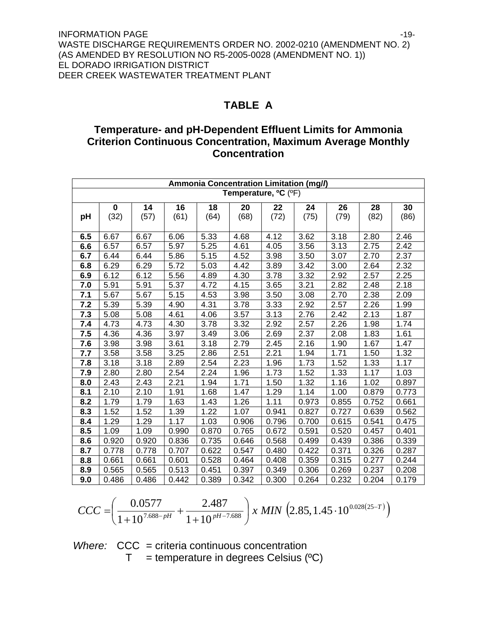# **TABLE A**

# **Temperature- and pH-Dependent Effluent Limits for Ammonia Criterion Continuous Concentration, Maximum Average Monthly Concentration**

|                                               | Ammonia Concentration Limitation (mg//) |       |       |       |       |       |       |       |       |       |
|-----------------------------------------------|-----------------------------------------|-------|-------|-------|-------|-------|-------|-------|-------|-------|
| Temperature, <sup>o</sup> C ( <sup>o</sup> F) |                                         |       |       |       |       |       |       |       |       |       |
|                                               | $\bf{0}$                                | 14    | 16    | 18    | 20    | 22    | 24    | 26    | 28    | 30    |
| pH                                            | (32)                                    | (57)  | (61)  | (64)  | (68)  | (72)  | (75)  | (79)  | (82)  | (86)  |
|                                               |                                         |       |       |       |       |       |       |       |       |       |
| 6.5                                           | 6.67                                    | 6.67  | 6.06  | 5.33  | 4.68  | 4.12  | 3.62  | 3.18  | 2.80  | 2.46  |
| 6.6                                           | 6.57                                    | 6.57  | 5.97  | 5.25  | 4.61  | 4.05  | 3.56  | 3.13  | 2.75  | 2.42  |
| 6.7                                           | 6.44                                    | 6.44  | 5.86  | 5.15  | 4.52  | 3.98  | 3.50  | 3.07  | 2.70  | 2.37  |
| 6.8                                           | 6.29                                    | 6.29  | 5.72  | 5.03  | 4.42  | 3.89  | 3.42  | 3.00  | 2.64  | 2.32  |
| 6.9                                           | 6.12                                    | 6.12  | 5.56  | 4.89  | 4.30  | 3.78  | 3.32  | 2.92  | 2.57  | 2.25  |
| 7.0                                           | 5.91                                    | 5.91  | 5.37  | 4.72  | 4.15  | 3.65  | 3.21  | 2.82  | 2.48  | 2.18  |
| 7.1                                           | 5.67                                    | 5.67  | 5.15  | 4.53  | 3.98  | 3.50  | 3.08  | 2.70  | 2.38  | 2.09  |
| 7.2                                           | 5.39                                    | 5.39  | 4.90  | 4.31  | 3.78  | 3.33  | 2.92  | 2.57  | 2.26  | 1.99  |
| 7.3                                           | 5.08                                    | 5.08  | 4.61  | 4.06  | 3.57  | 3.13  | 2.76  | 2.42  | 2.13  | 1.87  |
| 7.4                                           | 4.73                                    | 4.73  | 4.30  | 3.78  | 3.32  | 2.92  | 2.57  | 2.26  | 1.98  | 1.74  |
| 7.5                                           | 4.36                                    | 4.36  | 3.97  | 3.49  | 3.06  | 2.69  | 2.37  | 2.08  | 1.83  | 1.61  |
| 7.6                                           | 3.98                                    | 3.98  | 3.61  | 3.18  | 2.79  | 2.45  | 2.16  | 1.90  | 1.67  | 1.47  |
| 7.7                                           | 3.58                                    | 3.58  | 3.25  | 2.86  | 2.51  | 2.21  | 1.94  | 1.71  | 1.50  | 1.32  |
| 7.8                                           | 3.18                                    | 3.18  | 2.89  | 2.54  | 2.23  | 1.96  | 1.73  | 1.52  | 1.33  | 1.17  |
| 7.9                                           | 2.80                                    | 2.80  | 2.54  | 2.24  | 1.96  | 1.73  | 1.52  | 1.33  | 1.17  | 1.03  |
| 8.0                                           | 2.43                                    | 2.43  | 2.21  | 1.94  | 1.71  | 1.50  | 1.32  | 1.16  | 1.02  | 0.897 |
| 8.1                                           | 2.10                                    | 2.10  | 1.91  | 1.68  | 1.47  | 1.29  | 1.14  | 1.00  | 0.879 | 0.773 |
| 8.2                                           | 1.79                                    | 1.79  | 1.63  | 1.43  | 1.26  | 1.11  | 0.973 | 0.855 | 0.752 | 0.661 |
| 8.3                                           | 1.52                                    | 1.52  | 1.39  | 1.22  | 1.07  | 0.941 | 0.827 | 0.727 | 0.639 | 0.562 |
| 8.4                                           | 1.29                                    | 1.29  | 1.17  | 1.03  | 0.906 | 0.796 | 0.700 | 0.615 | 0.541 | 0.475 |
| 8.5                                           | 1.09                                    | 1.09  | 0.990 | 0.870 | 0.765 | 0.672 | 0.591 | 0.520 | 0.457 | 0.401 |
| 8.6                                           | 0.920                                   | 0.920 | 0.836 | 0.735 | 0.646 | 0.568 | 0.499 | 0.439 | 0.386 | 0.339 |
| 8.7                                           | 0.778                                   | 0.778 | 0.707 | 0.622 | 0.547 | 0.480 | 0.422 | 0.371 | 0.326 | 0.287 |
| 8.8                                           | 0.661                                   | 0.661 | 0.601 | 0.528 | 0.464 | 0.408 | 0.359 | 0.315 | 0.277 | 0.244 |
| 8.9                                           | 0.565                                   | 0.565 | 0.513 | 0.451 | 0.397 | 0.349 | 0.306 | 0.269 | 0.237 | 0.208 |
| 9.0                                           | 0.486                                   | 0.486 | 0.442 | 0.389 | 0.342 | 0.300 | 0.264 | 0.232 | 0.204 | 0.179 |

$$
CCC = \left(\frac{0.0577}{1 + 10^{7.688 - pH}} + \frac{2.487}{1 + 10^{pH - 7.688}}\right) x \ MIN \ \left(2.85, 1.45 \cdot 10^{0.028(25 - T)}\right)
$$

*Where:* CCC = criteria continuous concentration  $T =$  temperature in degrees Celsius ( $^{\circ}C$ )